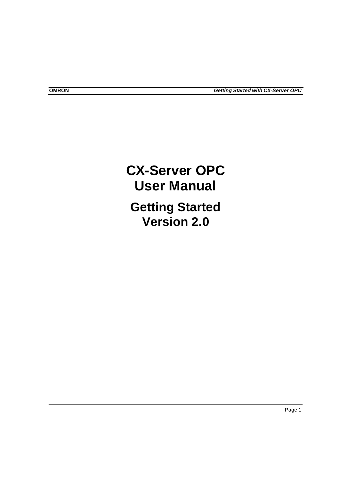# **CX-Server OPC User Manual Getting Started Version 2.0**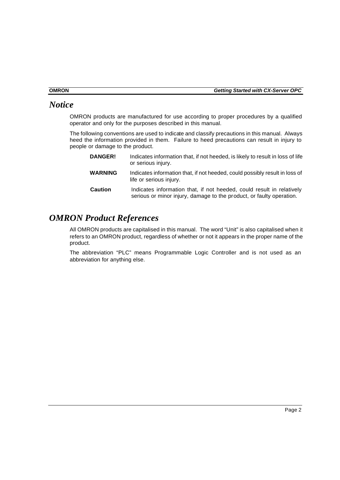## *Notice*

OMRON products are manufactured for use according to proper procedures by a qualified operator and only for the purposes described in this manual.

The following conventions are used to indicate and classify precautions in this manual. Always heed the information provided in them. Failure to heed precautions can result in injury to people or damage to the product.

**DANGER!** Indicates information that, if not heeded, is likely to result in loss of life or serious injury. **WARNING** Indicates information that, if not heeded, could possibly result in loss of life or serious injury. **Caution** Indicates information that, if not heeded, could result in relatively serious or minor injury, damage to the product, or faulty operation.

## *OMRON Product References*

All OMRON products are capitalised in this manual. The word "Unit" is also capitalised when it refers to an OMRON product, regardless of whether or not it appears in the proper name of the product.

The abbreviation "PLC" means Programmable Logic Controller and is not used as an abbreviation for anything else.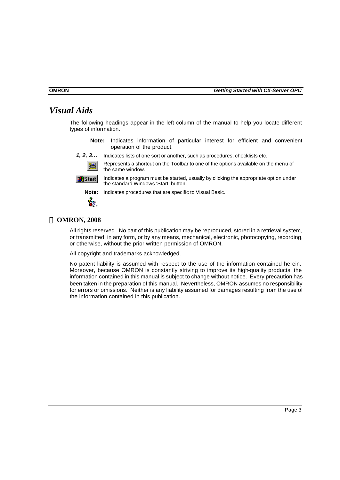## *Visual Aids*

The following headings appear in the left column of the manual to help you locate different types of information.

- **Note:** Indicates information of particular interest for efficient and convenient operation of the product.
- *1, 2, 3…* Indicates lists of one sort or another, such as procedures, checklists etc.





Indicates a program must be started, usually by clicking the appropriate option under the standard Windows 'Start' button.



**Note:** Indicates procedures that are specific to Visual Basic.



## **ã OMRON, 2008**

All rights reserved. No part of this publication may be reproduced, stored in a retrieval system, or transmitted, in any form, or by any means, mechanical, electronic, photocopying, recording, or otherwise, without the prior written permission of OMRON.

All copyright and trademarks acknowledged.

No patent liability is assumed with respect to the use of the information contained herein. Moreover, because OMRON is constantly striving to improve its high-quality products, the information contained in this manual is subject to change without notice. Every precaution has been taken in the preparation of this manual. Nevertheless, OMRON assumes no responsibility for errors or omissions. Neither is any liability assumed for damages resulting from the use of the information contained in this publication.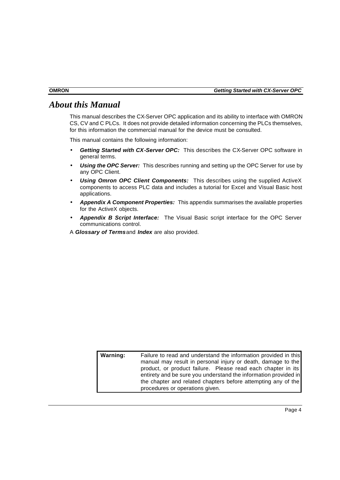## *About this Manual*

This manual describes the CX-Server OPC application and its ability to interface with OMRON CS, CV and C PLCs. It does not provide detailed information concerning the PLCs themselves, for this information the commercial manual for the device must be consulted.

This manual contains the following information:

- *Getting Started with CX-Server OPC:* This describes the CX-Server OPC software in general terms.
- **Using the OPC Server:** This describes running and setting up the OPC Server for use by any OPC Client.
- **Using Omron OPC Client Components:** This describes using the supplied ActiveX components to access PLC data and includes a tutorial for Excel and Visual Basic host applications.
- *Appendix A Component Properties:* This appendix summarises the available properties for the ActiveX objects.
- *Appendix B Script Interface:* The Visual Basic script interface for the OPC Server communications control.
- A *Glossary of Terms* and *Index* are also provided.

| Warning: | Failure to read and understand the information provided in this<br>manual may result in personal injury or death, damage to the |
|----------|---------------------------------------------------------------------------------------------------------------------------------|
|          | product, or product failure. Please read each chapter in its                                                                    |
|          | entirety and be sure you understand the information provided in                                                                 |
|          | the chapter and related chapters before attempting any of the                                                                   |
|          | procedures or operations given.                                                                                                 |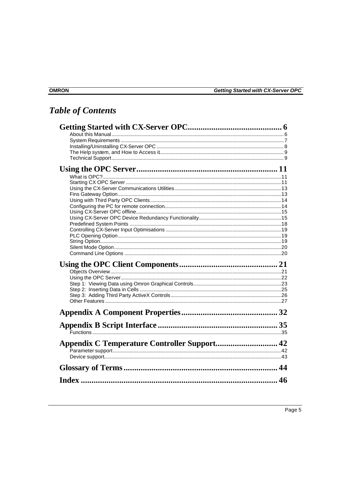# **Table of Contents**

| 46 |
|----|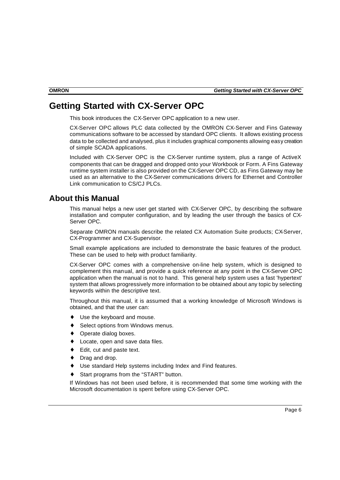## **Getting Started with CX-Server OPC**

This book introduces the CX-Server OPC application to a new user.

CX-Server OPC allows PLC data collected by the OMRON CX-Server and Fins Gateway communications software to be accessed by standard OPC clients. It allows existing process data to be collected and analysed, plus it includes graphical components allowing easy creation of simple SCADA applications.

Included with CX-Server OPC is the CX-Server runtime system, plus a range of ActiveX components that can be dragged and dropped onto your Workbook or Form. A Fins Gateway runtime system installer is also provided on the CX-Server OPC CD, as Fins Gateway may be used as an alternative to the CX-Server communications drivers for Ethernet and Controller Link communication to CS/CJ PLCs.

## **About this Manual**

This manual helps a new user get started with CX-Server OPC, by describing the software installation and computer configuration, and by leading the user through the basics of CX-Server OPC.

Separate OMRON manuals describe the related CX Automation Suite products; CX-Server, CX-Programmer and CX-Supervisor.

Small example applications are included to demonstrate the basic features of the product. These can be used to help with product familiarity.

CX-Server OPC comes with a comprehensive on-line help system, which is designed to complement this manual, and provide a quick reference at any point in the CX-Server OPC application when the manual is not to hand. This general help system uses a fast 'hypertext' system that allows progressively more information to be obtained about any topic by selecting keywords within the descriptive text.

Throughout this manual, it is assumed that a working knowledge of Microsoft Windows is obtained, and that the user can:

- ♦ Use the keyboard and mouse.
- Select options from Windows menus.
- ♦ Operate dialog boxes.
- ♦ Locate, open and save data files.
- ♦ Edit, cut and paste text.
- Drag and drop.
- Use standard Help systems including Index and Find features.
- Start programs from the "START" button.

If Windows has not been used before, it is recommended that some time working with the Microsoft documentation is spent before using CX-Server OPC.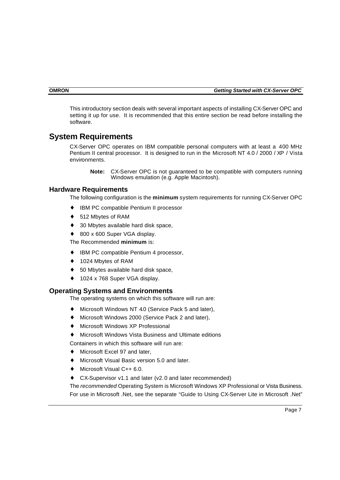This introductory section deals with several important aspects of installing CX-Server OPC and setting it up for use. It is recommended that this entire section be read before installing the software.

## **System Requirements**

CX-Server OPC operates on IBM compatible personal computers with at least a 400 MHz Pentium II central processor. It is designed to run in the Microsoft NT 4.0 / 2000 / XP / Vista environments.

**Note:** CX-Server OPC is not guaranteed to be compatible with computers running Windows emulation (e.g. Apple Macintosh).

#### **Hardware Requirements**

The following configuration is the **minimum** system requirements for running CX-Server OPC

- IBM PC compatible Pentium II processor
- ♦ 512 Mbytes of RAM
- ♦ 30 Mbytes available hard disk space,
- 800 x 600 Super VGA display.

The Recommended **minimum** is:

- **IBM PC compatible Pentium 4 processor,**
- ♦ 1024 Mbytes of RAM
- ♦ 50 Mbytes available hard disk space,
- ♦ 1024 x 768 Super VGA display.

#### **Operating Systems and Environments**

The operating systems on which this software will run are:

- Microsoft Windows NT 4.0 (Service Pack 5 and later),
- ♦ Microsoft Windows 2000 (Service Pack 2 and later),
- ♦ Microsoft Windows XP Professional
- Microsoft Windows Vista Business and Ultimate editions

Containers in which this software will run are:

- Microsoft Excel 97 and later,
- ♦ Microsoft Visual Basic version 5.0 and later.
- ♦ Microsoft Visual C++ 6.0.
- $CX-Supervisor v1.1$  and later (v2.0 and later recommended)

The *recommended* Operating System is Microsoft Windows XP Professional or Vista Business. For use in Microsoft .Net, see the separate "Guide to Using CX-Server Lite in Microsoft .Net"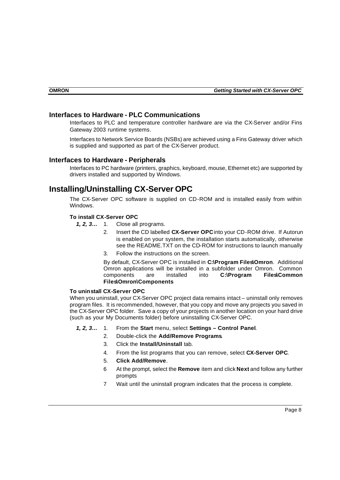## **Interfaces to Hardware - PLC Communications**

Interfaces to PLC and temperature controller hardware are via the CX-Server and/or Fins Gateway 2003 runtime systems.

Interfaces to Network Service Boards (NSBs) are achieved using a Fins Gateway driver which is supplied and supported as part of the CX-Server product.

#### **Interfaces to Hardware - Peripherals**

Interfaces to PC hardware (printers, graphics, keyboard, mouse, Ethernet etc) are supported by drivers installed and supported by Windows.

## **Installing/Uninstalling CX-Server OPC**

The CX-Server OPC software is supplied on CD-ROM and is installed easily from within Windows.

#### **To install CX-Server OPC**

- *1, 2, 3…* 1. Close all programs.
	- 2. Insert the CD labelled **CX-Server OPC** into your CD-ROM drive. If Autorun is enabled on your system, the installation starts automatically, otherwise see the README.TXT on the CD-ROM for instructions to launch manually
	- 3. Follow the instructions on the screen.

By default, CX-Server OPC is installed in **C:\Program Files\Omron**. Additional Omron applications will be installed in a subfolder under Omron. Common components are installed into **C:\Program Files\Common Files\Omron\Components**

#### **To uninstall CX-Server OPC**

When you uninstall, your CX-Server OPC project data remains intact – uninstall only removes program files. It is recommended, however, that you copy and move any projects you saved in the CX-Server OPC folder. Save a copy of your projects in another location on your hard drive (such as your My Documents folder) before uninstalling CX-Server OPC.

- *1, 2, 3…* 1. From the **Start** menu, select **Settings Control Panel**.
	- 2. Double-click the **Add/Remove Programs**.
	- 3. Click the **Install/Uninstall** tab.
	- 4. From the list programs that you can remove, select **CX-Server OPC**.
	- 5. **Click Add/Remove**.
	- 6 At the prompt, select the **Remove** item and click **Next** and follow any further prompts
	- 7 Wait until the uninstall program indicates that the process is complete.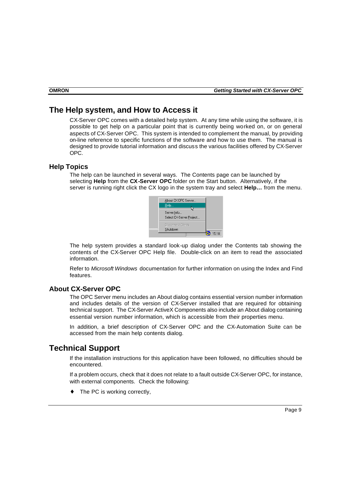## **The Help system, and How to Access it**

CX-Server OPC comes with a detailed help system. At any time while using the software, it is possible to get help on a particular point that is currently being worked on, or on general aspects of CX-Server OPC. This system is intended to complement the manual, by providing on-line reference to specific functions of the software and how to use them. The manual is designed to provide tutorial information and discuss the various facilities offered by CX-Server OPC.

## **Help Topics**

The help can be launched in several ways. The Contents page can be launched by selecting **Help** from the **CX-Server OPC** folder on the Start button. Alternatively, if the server is running right click the CX logo in the system tray and select **Help…** from the menu.



The help system provides a standard look-up dialog under the Contents tab showing the contents of the CX-Server OPC Help file. Double-click on an item to read the associated information.

Refer to *Microsoft Windows* documentation for further information on using the Index and Find features.

## **About CX-Server OPC**

The OPC Server menu includes an About dialog contains essential version number information and includes details of the version of CX-Server installed that are required for obtaining technical support. The CX-Server ActiveX Components also include an About dialog containing essential version number information, which is accessible from their properties menu.

In addition, a brief description of CX-Server OPC and the CX-Automation Suite can be accessed from the main help contents dialog.

## **Technical Support**

If the installation instructions for this application have been followed, no difficulties should be encountered.

If a problem occurs, check that it does not relate to a fault outside CX-Server OPC, for instance, with external components. Check the following:

The PC is working correctly,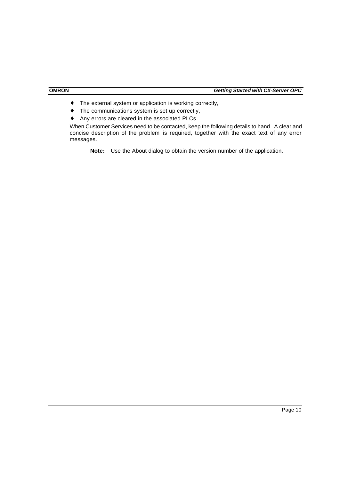- ♦ The external system or application is working correctly,
- ♦ The communications system is set up correctly,
- Any errors are cleared in the associated PLCs.

When Customer Services need to be contacted, keep the following details to hand. A clear and concise description of the problem is required, together with the exact text of any error messages.

**Note:** Use the About dialog to obtain the version number of the application.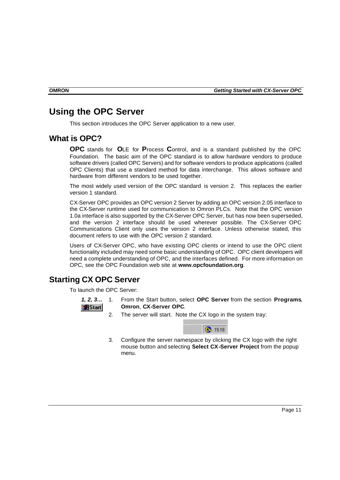## **Using the OPC Server**

This section introduces the OPC Server application to a new user.

## **What is OPC?**

**OPC** stands for **O**LE for **P**rocess **C**ontrol, and is a standard published by the OPC Foundation. The basic aim of the OPC standard is to allow hardware vendors to produce software drivers (called OPC Servers) and for software vendors to produce applications (called OPC Clients) that use a standard method for data interchange. This allows software and hardware from different vendors to be used together.

The most widely used version of the OPC standard is version 2. This replaces the earlier version 1 standard.

CX-Server OPC provides an OPC version 2 Server by adding an OPC version 2.05 interface to the CX-Server runtime used for communication to Omron PLCs. Note that the OPC version 1.0a interface is also supported by the CX-Server OPC Server, but has now been superseded, and the version 2 interface should be used wherever possible. The CX-Server OPC Communications Client only uses the version 2 interface. Unless otherwise stated, this document refers to use with the OPC version 2 standard.

Users of CX-Server OPC, who have existing OPC clients or intend to use the OPC client functionality included may need some basic understanding of OPC. OPC client developers will need a complete understanding of OPC, and the interfaces defined. For more information on OPC, see the OPC Foundation web site at **www.opcfoundation.org**.

## **Starting CX OPC Server**

To launch the OPC Server:



- *1, 2, 3…* 1. From the Start button, select **OPC Server** from the section **Programs**, **Omron**, **CX-Server OPC**.
	- 2. The server will start. Note the CX logo in the system tray:



3. Configure the server namespace by clicking the CX logo with the right mouse button and selecting **Select CX-Server Project** from the popup menu.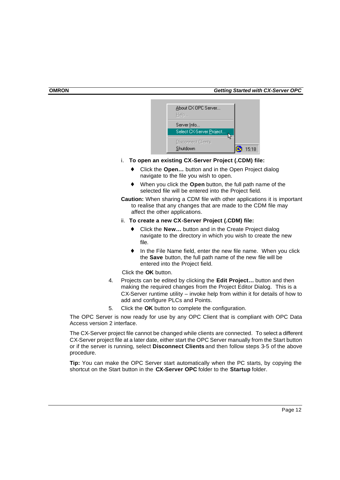| About CX OPC Server<br>Help |       |
|-----------------------------|-------|
| Server Info                 |       |
| Select CX-Server Project    |       |
| Disconnect Clients          |       |
| Shutdown                    | 15:18 |

- i. **To open an existing CX-Server Project (.CDM) file:**
	- Click the **Open...** button and in the Open Project dialog navigate to the file you wish to open.
	- ♦ When you click the **Open** button, the full path name of the selected file will be entered into the Project field.
- **Caution:** When sharing a CDM file with other applications it is important to realise that any changes that are made to the CDM file may affect the other applications.
- ii. **To create a new CX-Server Project (.CDM) file:**
	- Click the **New...** button and in the Create Project dialog navigate to the directory in which you wish to create the new file.
	- In the File Name field, enter the new file name. When you click the **Save** button, the full path name of the new file will be entered into the Project field.

Click the **OK** button.

- 4. Projects can be edited by clicking the **Edit Project…** button and then making the required changes from the Project Editor Dialog. This is a CX-Server runtime utility – invoke help from within it for details of how to add and configure PLCs and Points.
- 5. Click the **OK** button to complete the configuration.

The OPC Server is now ready for use by any OPC Client that is compliant with OPC Data Access version 2 interface.

The CX-Server project file cannot be changed while clients are connected. To select a different CX-Server project file at a later date, either start the OPC Server manually from the Start button or if the server is running, select **Disconnect Clients** and then follow steps 3-5 of the above procedure.

**Tip:** You can make the OPC Server start automatically when the PC starts, by copying the shortcut on the Start button in the **CX-Server OPC** folder to the **Startup** folder.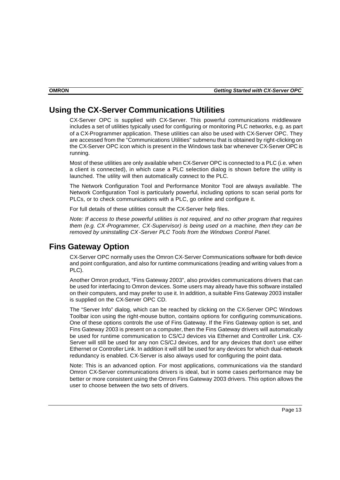## **Using the CX-Server Communications Utilities**

CX-Server OPC is supplied with CX-Server. This powerful communications middleware includes a set of utilities typically used for configuring or monitoring PLC networks, e.g. as part of a CX-Programmer application. These utilities can also be used with CX-Server OPC. They are accessed from the "Communications Utilities" submenu that is obtained by right-clicking on the CX-Server OPC icon which is present in the Windows task bar whenever CX-Server OPC is running.

Most of these utilities are only available when CX-Server OPC is connected to a PLC (i.e. when a client is connected), in which case a PLC selection dialog is shown before the utility is launched. The utility will then automatically connect to the PLC.

The Network Configuration Tool and Performance Monitor Tool are always available. The Network Configuration Tool is particularly powerful, including options to scan serial ports for PLCs, or to check communications with a PLC, go online and configure it.

For full details of these utilities consult the CX-Server help files.

*Note: If access to these powerful utilities is not required, and no other program that requires them (e.g. CX-Programmer, CX-Supervisor) is being used on a machine, then they can be removed by uninstalling CX-Server PLC Tools from the Windows Control Panel.*

## **Fins Gateway Option**

CX-Server OPC normally uses the Omron CX-Server Communications software for both device and point configuration, and also for runtime communications (reading and writing values from a PLC).

Another Omron product, "Fins Gateway 2003", also provides communications drivers that can be used for interfacing to Omron devices. Some users may already have this software installed on their computers, and may prefer to use it. In addition, a suitable Fins Gateway 2003 installer is supplied on the CX-Server OPC CD.

The "Server Info" dialog, which can be reached by clicking on the CX-Server OPC Windows Toolbar icon using the right-mouse button, contains options for configuring communications. One of these options controls the use of Fins Gateway. If the Fins Gateway option is set, and Fins Gateway 2003 is present on a computer, then the Fins Gateway drivers will automatically be used for runtime communication to CS/CJ devices via Ethernet and Controller Link. CX-Server will still be used for any non CS/CJ devices, and for any devices that don't use either Ethernet or Controller Link. In addition it will still be used for any devices for which dual-network redundancy is enabled. CX-Server is also always used for configuring the point data.

Note: This is an advanced option. For most applications, communications via the standard Omron CX-Server communications drivers is ideal, but in some cases performance may be better or more consistent using the Omron Fins Gateway 2003 drivers. This option allows the user to choose between the two sets of drivers.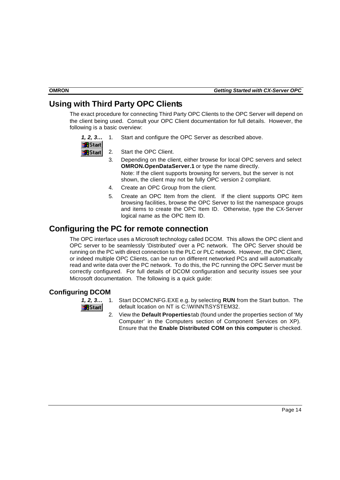## **Using with Third Party OPC Clients**

The exact procedure for connecting Third Party OPC Clients to the OPC Server will depend on the client being used. Consult your OPC Client documentation for full details. However, the following is a basic overview:

- *1, 2, 3…* 1. Start and configure the OPC Server as described above.
- **B**Start **a** Start
- 2. Start the OPC Client.
- 3. Depending on the client, either browse for local OPC servers and select **OMRON.OpenDataServer.1** or type the name directly. Note: If the client supports browsing for servers, but the server is not shown, the client may not be fully OPC version 2 compliant.
- 4. Create an OPC Group from the client.
- 5. Create an OPC Item from the client. If the client supports OPC item browsing facilities, browse the OPC Server to list the namespace groups and items to create the OPC Item ID. Otherwise, type the CX-Server logical name as the OPC Item ID.

## **Configuring the PC for remote connection**

The OPC interface uses a Microsoft technology called DCOM. This allows the OPC client and OPC server to be seamlessly 'Distributed' over a PC network. The OPC Server should be running on the PC with direct connection to the PLC or PLC network. However, the OPC Client, or indeed multiple OPC Clients, can be run on different networked PCs and will automatically read and write data over the PC network. To do this, the PC running the OPC Server must be correctly configured. For full details of DCOM configuration and security issues see your Microsoft documentation. The following is a quick guide:

## **Configuring DCOM**



- *1, 2, 3…* 1. Start DCOMCNFG.EXE e.g. by selecting **RUN** from the Start button. The default location on NT is C:\WINNT\SYSTEM32.
	- 2. View the **Default Properties** tab (found under the properties section of 'My Computer' in the Computers section of Component Services on XP). Ensure that the **Enable Distributed COM on this computer** is checked.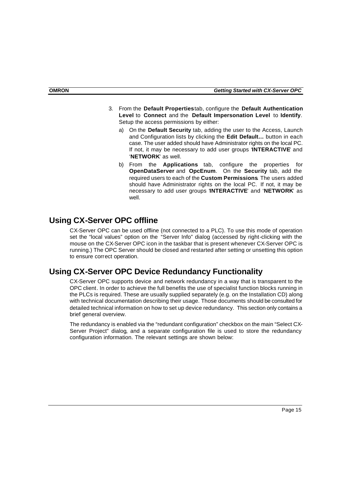- 3. From the **Default Properties** tab, configure the **Default Authentication Level** to **Connect** and the **Default Impersonation Level** to **Identify**. Setup the access permissions by either:
	- a) On the **Default Security** tab, adding the user to the Access, Launch and Configuration lists by clicking the **Edit Default…** button in each case. The user added should have Administrator rights on the local PC. If not, it may be necessary to add user groups '**INTERACTIVE**' and '**NETWORK**' as well.
	- b) From the **Applications** tab, configure the properties for **OpenDataServer** and **OpcEnum**. On the **Security** tab, add the required users to each of the **Custom Permissions**. The users added should have Administrator rights on the local PC. If not, it may be necessary to add user groups '**INTERACTIVE**' and '**NETWORK**' as well.

## **Using CX-Server OPC offline**

CX-Server OPC can be used offline (not connected to a PLC). To use this mode of operation set the "local values" option on the "Server Info" dialog (accessed by right-clicking with the mouse on the CX-Server OPC icon in the taskbar that is present whenever CX-Server OPC is running.) The OPC Server should be closed and restarted after setting or unsetting this option to ensure correct operation.

## **Using CX-Server OPC Device Redundancy Functionality**

CX-Server OPC supports device and network redundancy in a way that is transparent to the OPC client. In order to achieve the full benefits the use of specialist function blocks running in the PLCs is required. These are usually supplied separately (e.g. on the Installation CD) along with technical documentation describing their usage. Those documents should be consulted for detailed technical information on how to set up device redundancy. This section only contains a brief general overview.

The redundancy is enabled via the "redundant configuration" checkbox on the main "Select CX-Server Project" dialog, and a separate configuration file is used to store the redundancy configuration information. The relevant settings are shown below: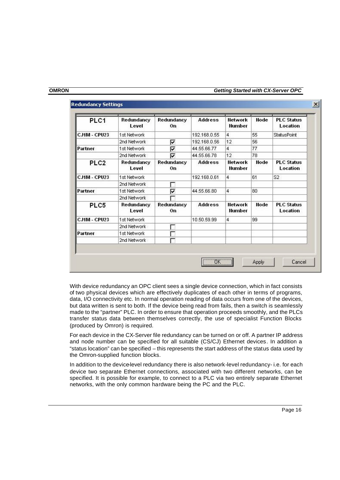| PLC1<br>Redundancy<br>Level |                     | Redundancy<br>0 <sub>n</sub> | <b>Address</b> | <b>Network</b><br><b>Number</b> | <b>Node</b> | <b>PLC Status</b><br>Location |
|-----------------------------|---------------------|------------------------------|----------------|---------------------------------|-------------|-------------------------------|
| <b>CJ1M - CPU23</b>         | 1st Network         |                              | 192.168.0.55   | 4                               | 55          | <b>StatusPoint</b>            |
|                             | 2nd Network         | ⊽                            | 192.168.0.56   | 12                              | 56          |                               |
| Partner                     | 1st Network         | ঢ়                           | 44.55.66.77    | 4                               | 77          |                               |
|                             | 2nd Network         | ⊽                            | 44.55.66.78    | 12                              | 78          |                               |
| PLC <sub>2</sub>            | Redundancy<br>Level | Redundancy<br>0 <sub>n</sub> | <b>Address</b> | <b>Network</b><br>Number        | <b>Node</b> | <b>PLC Status</b><br>Location |
| <b>CJ1M - CPU23</b>         | 1st Network         |                              | 192.168.0.61   | $\overline{4}$                  | 61          | S <sub>2</sub>                |
|                             | 2nd Network         |                              |                |                                 |             |                               |
| Partner                     | 1st Network         | ⊽                            | 44.55.66.80    | 4                               | 80          |                               |
|                             | 2nd Network         |                              |                |                                 |             |                               |
| PLC5                        | Redundancy<br>Level | Redundancy<br>0n             | <b>Address</b> | <b>Network</b><br>Number        | <b>Node</b> | <b>PLC Status</b><br>Location |
| <b>CJ1M - CPU23</b>         | 1st Network         |                              | 10.50.59.99    | 4                               | 99          |                               |
|                             | 2nd Network         |                              |                |                                 |             |                               |
| Partner                     | 1st Network         |                              |                |                                 |             |                               |
|                             | 2nd Network         |                              |                |                                 |             |                               |

#### **Redundancy Settings**

With device redundancy an OPC client sees a single device connection, which in fact consists of two physical devices which are effectively duplicates of each other in terms of programs, data, I/O connectivity etc. In normal operation reading of data occurs from one of the devices, but data written is sent to both. If the device being read from fails, then a switch is seamlessly made to the "partner" PLC. In order to ensure that operation proceeds smoothly, and the PLCs transfer status data between themselves correctly, the use of specialist Function Blocks (produced by Omron) is required.

For each device in the CX-Server file redundancy can be turned on or off. A partner IP address and node number can be specified for all suitable (CS/CJ) Ethernet devices. In addition a "status location" can be specified – this represents the start address of the status data used by the Omron-supplied function blocks.

In addition to the device-level redundancy there is also network-level redundancy- i.e. for each device two separate Ethernet connections, associated with two different networks, can be specified. It is possible for example, to connect to a PLC via two entirely separate Ethernet networks, with the only common hardware being the PC and the PLC.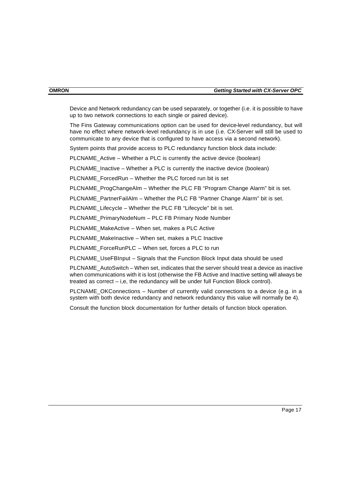Device and Network redundancy can be used separately, or together (i.e. it is possible to have up to two network connections to each single or paired device).

The Fins Gateway communications option can be used for device-level redundancy, but will have no effect where network-level redundancy is in use (i.e. CX-Server will still be used to communicate to any device that is configured to have access via a second network).

System points that provide access to PLC redundancy function block data include:

PLCNAME Active – Whether a PLC is currently the active device (boolean)

PLCNAME Inactive – Whether a PLC is currently the inactive device (boolean)

PLCNAME\_ForcedRun – Whether the PLC forced run bit is set

PLCNAME\_ProgChangeAlm – Whether the PLC FB "Program Change Alarm" bit is set.

PLCNAME\_PartnerFailAlm – Whether the PLC FB "Partner Change Alarm" bit is set.

PLCNAME\_Lifecycle – Whether the PLC FB "Lifecycle" bit is set.

PLCNAME\_PrimaryNodeNum – PLC FB Primary Node Number

PLCNAME\_MakeActive – When set, makes a PLC Active

PLCNAME\_MakeInactive – When set, makes a PLC Inactive

PLCNAME\_ForceRunPLC – When set, forces a PLC to run

PLCNAME\_UseFBInput – Signals that the Function Block Input data should be used

PLCNAME\_AutoSwitch – When set, indicates that the server should treat a device as inactive when communications with it is lost (otherwise the FB Active and Inactive setting will always be treated as correct – i,e, the redundancy will be under full Function Block control).

PLCNAME\_OKConnections – Number of currently valid connections to a device (e.g. in a system with both device redundancy and network redundancy this value will normally be 4).

Consult the function block documentation for further details of function block operation.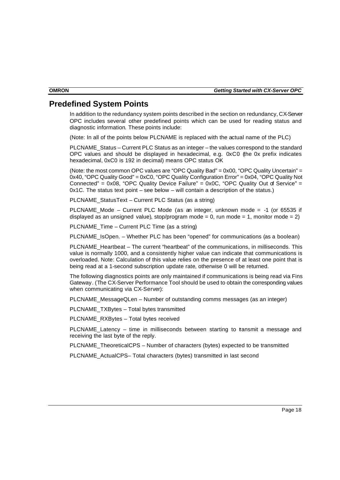## **Predefined System Points**

In addition to the redundancy system points described in the section on redundancy, CX-Server OPC includes several other predefined points which can be used for reading status and diagnostic information. These points include:

(Note: In all of the points below PLCNAME is replaced with the actual name of the PLC)

PLCNAME\_Status – Current PLC Status as an integer – the values correspond to the standard OPC values and should be displayed in hexadecimal, e.g. 0xC0 (the 0x prefix indicates hexadecimal, 0xC0 is 192 in decimal) means OPC status OK

(Note: the most common OPC values are "OPC Quality Bad" = 0x00, "OPC Quality Uncertain" = 0x40, "OPC Quality Good" = 0xC0, "OPC Quality Configuration Error" = 0x04, "OPC Quality Not Connected" =  $0x08$ , "OPC Quality Device Failure" =  $0x0C$ , "OPC Quality Out of Service" = 0x1C. The status text point – see below – will contain a description of the status.)

PLCNAME\_StatusText – Current PLC Status (as a string)

PLCNAME Mode – Current PLC Mode (as an integer, unknown mode  $=$  -1 (or 65535 if displayed as an unsigned value), stop/program mode = 0, run mode = 1, monitor mode = 2)

PLCNAME\_Time – Current PLC Time (as a string)

PLCNAME\_IsOpen. – Whether PLC has been "opened" for communications (as a boolean)

PLCNAME\_Heartbeat – The current "heartbeat" of the communications, in milliseconds. This value is normally 1000, and a consistently higher value can indicate that communications is overloaded. Note: Calculation of this value relies on the presence of at least one point that is being read at a 1-second subscription update rate, otherwise 0 will be returned.

The following diagnostics points are only maintained if communications is being read via Fins Gateway. (The CX-Server Performance Tool should be used to obtain the corresponding values when communicating via CX-Server):

PLCNAME\_MessageQLen – Number of outstanding comms messages (as an integer)

PLCNAME\_TXBytes – Total bytes transmitted

PLCNAME\_RXBytes – Total bytes received

PLCNAME Latency – time in milliseconds between starting to tansmit a message and receiving the last byte of the reply.

PLCNAME\_TheoreticalCPS – Number of characters (bytes) expected to be transmitted

PLCNAME\_ActualCPS– Total characters (bytes) transmitted in last second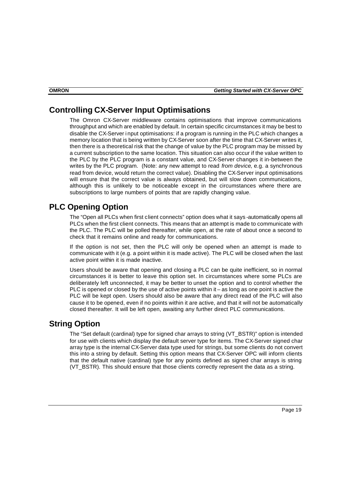## **Controlling CX-Server Input Optimisations**

The Omron CX-Server middleware contains optimisations that improve communications throughput and which are enabled by default. In certain specific circumstances it may be best to disable the CX-Server i nput optimisations: if a program is running in the PLC which changes a memory location that is being written by CX-Server soon after the time that CX-Server writes it, then there is a theoretical risk that the change of value by the PLC program may be missed by a current subscription to the same location. This situation can also occur if the value written to the PLC by the PLC program is a constant value, and CX-Server changes it in-between the writes by the PLC program. (Note: any new attempt to read *from device*, e.g. a synchronous read from device, would return the correct value). Disabling the CX-Server input optimisations will ensure that the correct value is always obtained, but will slow down communications, although this is unlikely to be noticeable except in the circumstances where there are subscriptions to large numbers of points that are rapidly changing value.

## **PLC Opening Option**

The "Open all PLCs when first client connects" option does what it says -automatically opens all PLCs when the first client connects. This means that an attempt is made to communicate with the PLC. The PLC will be polled thereafter, while open, at the rate of about once a second to check that it remains online and ready for communications.

If the option is not set, then the PLC will only be opened when an attempt is made to communicate with it (e.g. a point within it is made active). The PLC will be closed when the last active point within it is made inactive.

Users should be aware that opening and closing a PLC can be quite inefficient, so in normal circumstances it is better to leave this option set. In circumstances where some PLCs are deliberately left unconnected, it may be better to unset the option and to control whether the PLC is opened or closed by the use of active points within it – as long as one point is active the PLC will be kept open. Users should also be aware that any direct read of the PLC will also cause it to be opened, even if no points within it are active, and that it will not be automatically closed thereafter. It will be left open, awaiting any further direct PLC communications.

## **String Option**

The "Set default (cardinal) type for signed char arrays to string (VT\_BSTR)" option is intended for use with clients which display the default server type for items. The CX-Server signed char array type is the internal CX-Server data type used for strings, but some clients do not convert this into a string by default. Setting this option means that CX-Server OPC will inform clients that the default native (cardinal) type for any points defined as signed char arrays is string (VT\_BSTR). This should ensure that those clients correctly represent the data as a string.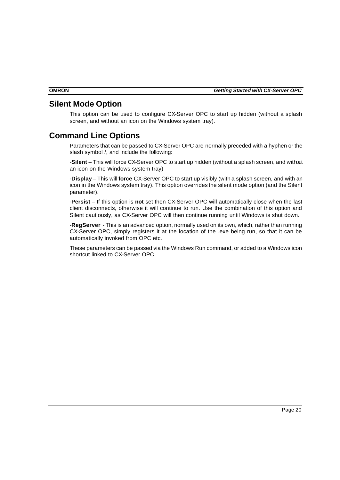## **Silent Mode Option**

This option can be used to configure CX-Server OPC to start up hidden (without a splash screen, and without an icon on the Windows system tray).

## **Command Line Options**

Parameters that can be passed to CX-Server OPC are normally preceded with a hyphen or the slash symbol /, and include the following:

-**Silent** – This will force CX-Server OPC to start up hidden (without a splash screen, and without an icon on the Windows system tray)

-**Display** – This will **force** CX-Server OPC to start up visibly (with a splash screen, and with an icon in the Windows system tray). This option overrides the silent mode option (and the Silent parameter).

-**Persist** – If this option is **not** set then CX-Server OPC will automatically close when the last client disconnects, otherwise it will continue to run. Use the combination of this option and Silent cautiously, as CX-Server OPC will then continue running until Windows is shut down.

-**RegServer** - This is an advanced option, normally used on its own, which, rather than running CX-Server OPC, simply registers it at the location of the .exe being run, so that it can be automatically invoked from OPC etc.

These parameters can be passed via the Windows Run command, or added to a Windows icon shortcut linked to CX-Server OPC.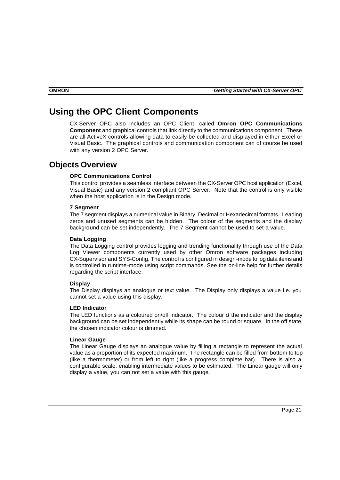## **Using the OPC Client Components**

CX-Server OPC also includes an OPC Client, called **Omron OPC Communications Component** and graphical controls that link directly to the communications component. These are all ActiveX controls allowing data to easily be collected and displayed in either Excel or Visual Basic. The graphical controls and communication component can of course be used with any version 2 OPC Server.

## **Objects Overview**

#### **OPC Communications Control**

This control provides a seamless interface between the CX-Server OPC host application (Excel, Visual Basic) and any version 2 compliant OPC Server. Note that the control is only visible when the host application is in the Design mode.

#### **7 Segment**

The 7 segment displays a numerical value in Binary, Decimal or Hexadecimal formats. Leading zeros and unused segments can be hidden. The colour of the segments and the display background can be set independently. The 7 Segment cannot be used to set a value.

#### **Data Logging**

The Data Logging control provides logging and trending functionality through use of the Data Log Viewer components currently used by other Omron software packages including CX-Supervisor and SYS-Config. The control is configured in design-mode to log data items and is controlled in runtime-mode using script commands. See the on-line help for further details regarding the script interface.

#### **Display**

The Display displays an analogue or text value. The Display only displays a value i.e. you cannot set a value using this display.

#### **LED Indicator**

The LED functions as a coloured on/off indicator. The colour of the indicator and the display background can be set independently while its shape can be round or square. In the off state, the chosen indicator colour is dimmed.

#### **Linear Gauge**

The Linear Gauge displays an analogue value by filling a rectangle to represent the actual value as a proportion of its expected maximum. The rectangle can be filled from bottom to top (like a thermometer) or from left to right (like a progress complete bar). There is also a configurable scale, enabling intermediate values to be estimated. The Linear gauge will only display a value, you can not set a value with this gauge.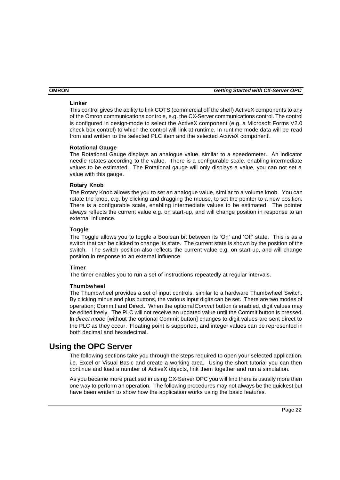#### **Linker**

This control gives the ability to link COTS (commercial off the shelf) ActiveX components to any of the Omron communications controls, e.g. the CX-Server communications control. The control is configured in design-mode to select the ActiveX component (e.g. a Microsoft Forms V2.0 check box control) to which the control will link at runtime. In runtime mode data will be read from and written to the selected PLC item and the selected ActiveX component.

#### **Rotational Gauge**

The Rotational Gauge displays an analogue value, similar to a speedometer. An indicator needle rotates according to the value. There is a configurable scale, enabling intermediate values to be estimated. The Rotational gauge will only displays a value, you can not set a value with this gauge.

#### **Rotary Knob**

The Rotary Knob allows the you to set an analogue value, similar to a volume knob. You can rotate the knob, e.g. by clicking and dragging the mouse, to set the pointer to a new position. There is a configurable scale, enabling intermediate values to be estimated. The pointer always reflects the current value e.g. on start-up, and will change position in response to an external influence.

#### **Toggle**

The Toggle allows you to toggle a Boolean bit between its 'On' and 'Off' state. This is as a switch that can be clicked to change its state. The current state is shown by the position of the switch. The switch position also reflects the current value e.g. on start-up, and will change position in response to an external influence.

#### **Timer**

The timer enables you to run a set of instructions repeatedly at regular intervals.

#### **Thumbwheel**

The Thumbwheel provides a set of input controls, similar to a hardware Thumbwheel Switch. By clicking minus and plus buttons, the various input digits can be set. There are two modes of operation; Commit and Direct. When the optional *Commit* button is enabled, digit values may be edited freely. The PLC will not receive an updated value until the Commit button is pressed. In *direct mode* [without the optional Commit button] changes to digit values are sent direct to the PLC as they occur. Floating point is supported, and integer values can be represented in both decimal and hexadecimal.

## **Using the OPC Server**

The following sections take you through the steps required to open your selected application, i.e. Excel or Visual Basic and create a working area. Using the short tutorial you can then continue and load a number of ActiveX objects, link them together and run a simulation.

As you became more practised in using CX-Server OPC you will find there is usually more then one way to perform an operation. The following procedures may not always be the quickest but have been written to show how the application works using the basic features.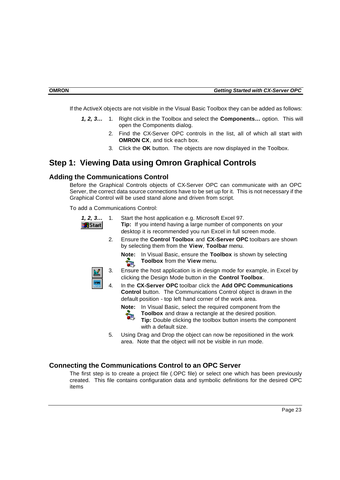If the ActiveX objects are not visible in the Visual Basic Toolbox they can be added as follows:

- *1, 2, 3…* 1. Right click in the Toolbox and select the **Components…** option. This will open the Components dialog.
	- 2. Find the CX-Server OPC controls in the list, all of which all start with **OMRON CX**, and tick each box.
	- 3. Click the **OK** button. The objects are now displayed in the Toolbox.

## **Step 1: Viewing Data using Omron Graphical Controls**

### **Adding the Communications Control**

Before the Graphical Controls objects of CX-Server OPC can communicate with an OPC Server, the correct data source connections have to be set up for it. This is not necessary if the Graphical Control will be used stand alone and driven from script.

To add a Communications Control:

- *1, 2, 3…* 1. Start the host application e.g. Microsoft Excel 97.
- **Tip:** If you intend having a large number of components on your **B**Start desktop it is recommended you run Excel in full screen mode.
	- 2. Ensure the **Control Toolbox** and **CX-Server OPC** toolbars are shown by selecting them from the **View**, **Toolbar** menu.

**Note:** In Visual Basic, ensure the **Toolbox** is shown by selecting  $\frac{1}{2}$ **Toolbox** from the **View** menu.

- 3. Ensure the host application is in design mode for example, in Excel by clicking the Design Mode button in the **Control Toolbox**.
- 4. In the **CX-Server OPC** toolbar click the **Add OPC Communications Control** button. The Communications Control object is drawn in the default position - top left hand corner of the work area.

**Note:** In Visual Basic, select the required component from the

**Toolbox** and draw a rectangle at the desired position.

**Tip:** Double clicking the toolbox button inserts the component with a default size.

5. Using Drag and Drop the object can now be repositioned in the work area. Note that the object will not be visible in run mode.

#### **Connecting the Communications Control to an OPC Server**

The first step is to create a project file (.OPC file) or select one which has been previously created. This file contains configuration data and symbolic definitions for the desired OPC items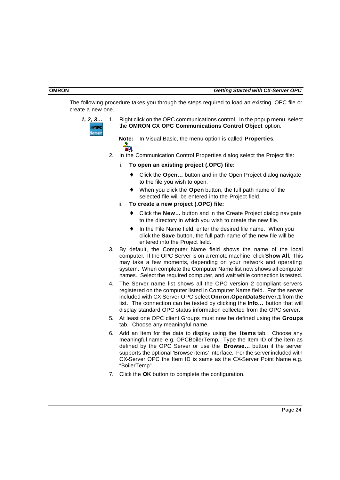The following procedure takes you through the steps required to load an existing .OPC file or create a new one.



*1, 2, 3…* 1. Right click on the OPC communications control. In the popup menu, select the **OMRON CX OPC Communications Control Object** option.

**Note:** In Visual Basic, the menu option is called **Properties**.

- 2. In the Communication Control Properties dialog select the Project file:
	- i. **To open an existing project (.OPC) file:**
		- ♦ Click the **Open…** button and in the Open Project dialog navigate to the file you wish to open.
		- ♦ When you click the **Open** button, the full path name of the selected file will be entered into the Project field.
	- ii. **To create a new project (.OPC) file:**
		- ♦ Click the **New…** button and in the Create Project dialog navigate to the directory in which you wish to create the new file.
		- ♦ In the File Name field, enter the desired file name. When you click the **Save** button, the full path name of the new file will be entered into the Project field.
- 3. By default, the Computer Name field shows the name of the local computer. If the OPC Server is on a remote machine, click **Show All**. This may take a few moments, depending on your network and operating system. When complete the Computer Name list now shows all computer names. Select the required computer, and wait while connection is tested.
- 4. The Server name list shows all the OPC version 2 compliant servers registered on the computer listed in Computer Name field. For the server included with CX-Server OPC select **Omron.OpenDataServer.1** from the list. The connection can be tested by clicking the **Info…** button that will display standard OPC status information collected from the OPC server.
- 5. At least one OPC client Groups must now be defined using the **Groups** tab. Choose any meaningful name.
- 6. Add an Item for the data to display using the **Items** tab. Choose any meaningful name e.g. OPCBoilerTemp. Type the Item ID of the item as defined by the OPC Server or use the **Browse…** button if the server supports the optional 'Browse items' interface. For the server included with CX-Server OPC the Item ID is same as the CX-Server Point Name e.g. "BoilerTemp".
- 7. Click the **OK** button to complete the configuration.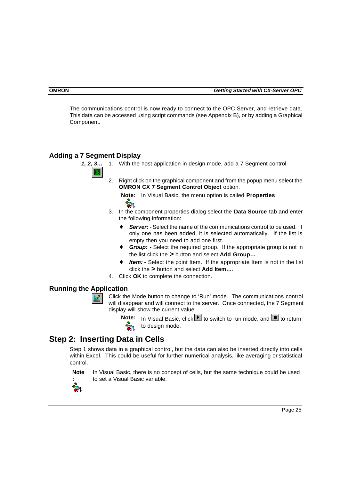The communications control is now ready to connect to the OPC Server, and retrieve data. This data can be accessed using script commands (see Appendix B), or by adding a Graphical Component.

## **Adding a 7 Segment Display**

- *1, 2, 3…* 1. With the host application in design mode, add a 7 Segment control.
	- 2. Right click on the graphical component and from the popup menu select the **OMRON CX 7 Segment Control Object option.**

**Note:** In Visual Basic, the menu option is called **Properties**.  $\mathbb{Z}$ 

- 3. In the component properties dialog select the **Data Source** tab and enter the following information:
	- **Server:** Select the name of the communications control to be used. If only one has been added, it is selected automatically. If the list is empty then you need to add one first.
	- ♦ *Group:* Select the required group. If the appropriate group is not in the list click the **>** button and select **Add Group…**.
	- ♦ *Item:* Select the point Item. If the appropriate Item is not in the list click the **>** button and select **Add Item…**.
- 4. Click **OK** to complete the connection.

## **Running the Application**

Click the Mode button to change to 'Run' mode. The communications control will disappear and will connect to the server. Once connected, the 7 Segment display will show the current value.

**Note:** In Visual Basic, click **I** to switch to run mode, and **I** to return to design mode.

## **Step 2: Inserting Data in Cells**

Step 1 shows data in a graphical control, but the data can also be inserted directly into cells within Excel. This could be useful for further numerical analysis, like averaging or statistical control.



In Visual Basic, there is no concept of cells, but the same technique could be used to set a Visual Basic variable.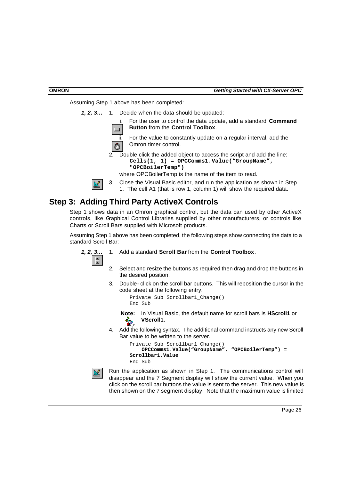Assuming Step 1 above has been completed:

*1, 2, 3…* 1. Decide when the data should be updated:

i. For the user to control the data update, add a standard **Command Button** from the **Control Toolbox**.

ii. For the value to constantly update on a regular interval, add the Omron timer control.

2. Double click the added object to access the script and add the line: **Cells(1, 1) = OPCComms1.Value("GroupName", "OPCBoilerTemp")**

where OPCBoilerTemp is the name of the item to read.



활

3. Close the Visual Basic editor, and run the application as shown in Step 1. The cell A1 (that is row 1, column 1) will show the required data.

## **Step 3: Adding Third Party ActiveX Controls**

Step 1 shows data in an Omron graphical control, but the data can used by other ActiveX controls, like Graphical Control Libraries supplied by other manufacturers, or controls like Charts or Scroll Bars supplied with Microsoft products.

Assuming Step 1 above has been completed, the following steps show connecting the data to a standard Scroll Bar:

- *1, 2, 3…* 1. Add a standard **Scroll Bar** from the **Control Toolbox**.
	- 2. Select and resize the buttons as required then drag and drop the buttons in the desired position.
	- 3. Double- click on the scroll bar buttons. This will reposition the cursor in the code sheet at the following entry.

```
Private Sub Scrollbar1_Change()
End Sub
```
**Note:** In Visual Basic, the default name for scroll bars is **HScroll1** or **VScroll1.**

4. Add the following syntax. The additional command instructs any new Scroll Bar value to be written to the server.

```
Private Sub Scrollbar1_Change()
    OPCComms1.Value("GroupName", "OPCBoilerTemp") = 
Scrollbar1.Value
End Sub
```


Run the application as shown in Step 1. The communications control will disappear and the 7 Segment display will show the current value. When you click on the scroll bar buttons the value is sent to the server. This new value is then shown on the 7 segment display. Note that the maximum value is limited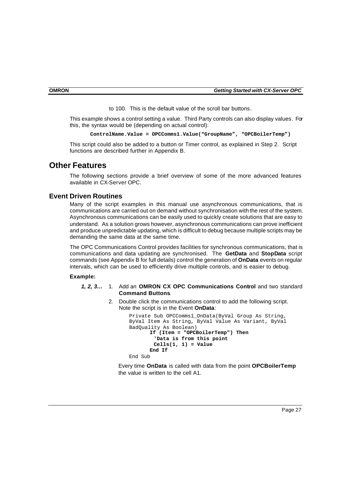to 100. This is the default value of the scroll bar buttons.

This example shows a control setting a value. Third Party controls can also display values. For this, the syntax would be (depending on actual control):

**ControlName.Value = OPCComms1.Value("GroupName", "OPCBoilerTemp")** 

This script could also be added to a button or Timer control, as explained in Step 2. Script functions are described further in Appendix B.

## **Other Features**

The following sections provide a brief overview of some of the more advanced features available in CX-Server OPC.

#### **Event Driven Routines**

Many of the script examples in this manual use asynchronous communications, that is communications are carried out on demand without synchronisation with the rest of the system. Asynchronous communications can be easily used to quickly create solutions that are easy to understand. As a solution grows however, asynchronous communications can prove inefficient and produce unpredictable updating, which is difficult to debug because multiple scripts may be demanding the same data at the same time.

The OPC Communications Control provides facilities for synchronous communications, that is communications and data updating are synchronised. The **GetData** and **StopData** script commands (see Appendix B for full details) control the generation of **OnData** events on regular intervals, which can be used to efficiently drive multiple controls, and is easier to debug.

#### **Example:**

- *1, 2, 3…* 1. Add an **OMRON CX OPC Communications Control** and two standard **Command Buttons**.
	- 2. Double click the communications control to add the following script. Note the script is in the Event **OnData**:

```
Private Sub OPCComms1_OnData(ByVal Group As String, 
ByVal Item As String, ByVal Value As Variant, ByVal 
BadQuality As Boolean)
      If (Item = "OPCBoilerTemp") Then
         'Data is from this point
         Cells(1, 1) = Value
      End If
End Sub
```
Every time **OnData** is called with data from the point **OPCBoilerTemp** the value is written to the cell A1.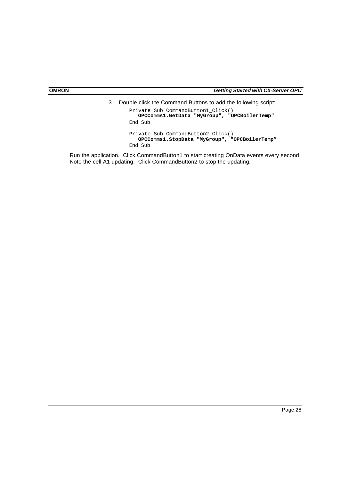3. Double click the Command Buttons to add the following script:

```
Private Sub CommandButton1_Click()
    OPCComms1.GetData "MyGroup", "OPCBoilerTemp"
End Sub
Private Sub CommandButton2_Click()
    OPCComms1.StopData "MyGroup", "OPCBoilerTemp"
End Sub
```
Run the application. Click CommandButton1 to start creating OnData events every second. Note the cell A1 updating. Click CommandButton2 to stop the updating.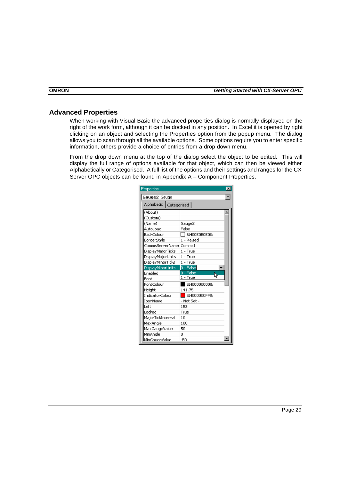### **Advanced Properties**

When working with Visual Basic the advanced properties dialog is normally displayed on the right of the work form, although it can be docked in any position. In Excel it is opened by right clicking on an object and selecting the Properties option from the popup menu. The dialog allows you to scan through all the available options. Some options require you to enter specific information, others provide a choice of entries from a drop down menu.

From the drop down menu at the top of the dialog select the object to be edited. This will display the full range of options available for that object, which can then be viewed either Alphabetically or Categorised. A full list of the options and their settings and ranges for the CX-Server OPC objects can be found in Appendix A – Component Properties.

| Properties               | ×              |  |  |  |  |  |  |
|--------------------------|----------------|--|--|--|--|--|--|
| Gauge2 Gauge             |                |  |  |  |  |  |  |
| Alphabetic   Categorized |                |  |  |  |  |  |  |
| (About)                  |                |  |  |  |  |  |  |
| (Custom)                 |                |  |  |  |  |  |  |
| (Name)                   | Gauge2         |  |  |  |  |  |  |
| AutoLoad                 | Ealse          |  |  |  |  |  |  |
| BackColour               | 8H00E0E0E0&    |  |  |  |  |  |  |
| BorderStyle              | 1 - Raised     |  |  |  |  |  |  |
|                          |                |  |  |  |  |  |  |
| <b>DisplayMajorTicks</b> | $1 - True$     |  |  |  |  |  |  |
| DisplayMajorUnits        | $1 - True$     |  |  |  |  |  |  |
| <b>DisplayMinorTicks</b> | $1 - True$     |  |  |  |  |  |  |
| DisplayMinorUnits        | 0 - Falsel     |  |  |  |  |  |  |
| Enabled                  | 0 - False      |  |  |  |  |  |  |
| Font                     | $1 - True$     |  |  |  |  |  |  |
| FontColour               | 8H000000008    |  |  |  |  |  |  |
| Height                   | 141.75         |  |  |  |  |  |  |
| IndicatorColour          | &H000000FF&    |  |  |  |  |  |  |
| <b>ItemName</b>          | - Not Set -    |  |  |  |  |  |  |
| Left                     | 153            |  |  |  |  |  |  |
| Locked                   | True           |  |  |  |  |  |  |
| MajorTickInterval        | 1 <sub>0</sub> |  |  |  |  |  |  |
| MaxAngle                 | 180            |  |  |  |  |  |  |
| MaxGaugeValue            | 50             |  |  |  |  |  |  |
| MinAngle                 | n              |  |  |  |  |  |  |
| MinGaugeValue            | -50            |  |  |  |  |  |  |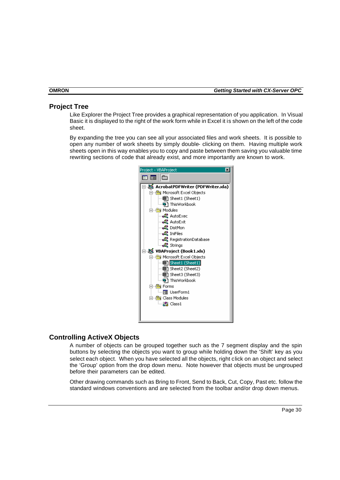## **Project Tree**

Like Explorer the Project Tree provides a graphical representation of you application. In Visual Basic it is displayed to the right of the work form while in Excel it is shown on the left of the code sheet.

By expanding the tree you can see all your associated files and work sheets. It is possible to open any number of work sheets by simply double- clicking on them. Having multiple work sheets open in this way enables you to copy and paste between them saving you valuable time rewriting sections of code that already exist, and more importantly are known to work.



## **Controlling ActiveX Objects**

A number of objects can be grouped together such as the 7 segment display and the spin buttons by selecting the objects you want to group while holding down the 'Shift' key as you select each object. When you have selected all the objects, right click on an object and select the 'Group' option from the drop down menu. Note however that objects must be ungrouped before their parameters can be edited.

Other drawing commands such as Bring to Front, Send to Back, Cut, Copy, Past etc. follow the standard windows conventions and are selected from the toolbar and/or drop down menus.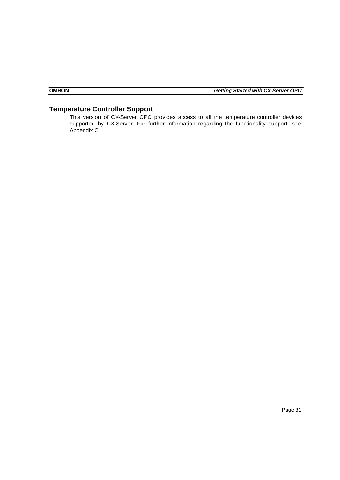## **Temperature Controller Support**

This version of CX-Server OPC provides access to all the temperature controller devices supported by CX-Server. For further information regarding the functionality support, see Appendix C.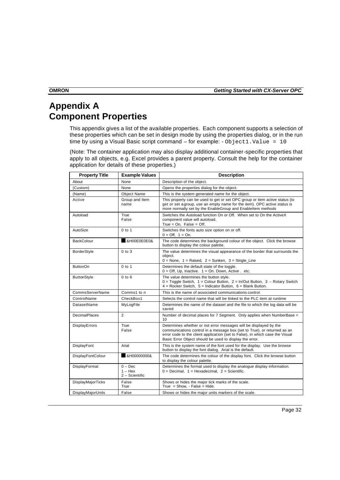## **Appendix A Component Properties**

This appendix gives a list of the available properties. Each component supports a selection of these properties which can be set in design mode by using the properties dialog, or in the run time by using a Visual Basic script command – for example: - Object1. Value = 10

(Note: The container application may also display additional container-specific properties that apply to all objects, e.g. Excel provides a parent property. Consult the help for the container application for details of these properties.)

| <b>Property Title</b> | <b>Example Values</b>                    | <b>Description</b>                                                                                                                                                                                                                                                                        |  |  |  |  |  |  |  |  |
|-----------------------|------------------------------------------|-------------------------------------------------------------------------------------------------------------------------------------------------------------------------------------------------------------------------------------------------------------------------------------------|--|--|--|--|--|--|--|--|
| About                 | None                                     | Description of the object.                                                                                                                                                                                                                                                                |  |  |  |  |  |  |  |  |
| (Custom)              | None                                     | Opens the properties dialog for the object.                                                                                                                                                                                                                                               |  |  |  |  |  |  |  |  |
| (Name)                | <b>Object Name</b>                       | This is the system generated name for the object.                                                                                                                                                                                                                                         |  |  |  |  |  |  |  |  |
| Active                | Group and Item<br>name                   | This property can be used to get or set OPC group or item active status (to<br>get or set agroup, use an empty name for the item). OPC active status is<br>more normally set by the EnableGroup and EnableItem methods                                                                    |  |  |  |  |  |  |  |  |
| Autoload              | True<br>False                            | Switches the Autoload function On or Off. When set to On the ActiveX<br>component value will autoload.<br>True = $On.$ False = $Off.$                                                                                                                                                     |  |  |  |  |  |  |  |  |
| AutoSize              | $0$ to 1                                 | Switches the fonts auto size option on or off.<br>$0 = \text{Off}, 1 = \text{On}.$                                                                                                                                                                                                        |  |  |  |  |  |  |  |  |
| <b>BackColour</b>     | &H00E0E0E0&                              | The code determines the background colour of the object. Click the browse<br>button to display the colour palette.                                                                                                                                                                        |  |  |  |  |  |  |  |  |
| BorderStyle           | $0$ to $3$                               | The value determines the visual appearance of the border that surrounds the<br>object.<br>$0 =$ None, $1 =$ Raised, $2 =$ Sunken, $3 =$ Single_Line                                                                                                                                       |  |  |  |  |  |  |  |  |
| <b>ButtonOn</b>       | $0$ to 1                                 | Determines the default state of the toggle.<br>$0 =$ Off, Up, Inactive. $1 =$ On. Down, Active . etc.                                                                                                                                                                                     |  |  |  |  |  |  |  |  |
| <b>ButtonStyle</b>    | $0$ to $6$                               | The value determines the button style.<br>$0 =$ Toggle Switch, 1 = Colour Button, 2 = In/Out Button, 3 - Rotary Switch<br>$4 =$ Rocker Switch, $5 =$ Indicator Button, $6 =$ Blank Button.                                                                                                |  |  |  |  |  |  |  |  |
| CommsServerName       | Comms1 to n                              | This is the name of associated communications control.                                                                                                                                                                                                                                    |  |  |  |  |  |  |  |  |
| ControlName           | CheckBox1                                | Selects the control name that will be linked to the PLC item at runtime                                                                                                                                                                                                                   |  |  |  |  |  |  |  |  |
| DatasetName           | MyLogFile                                | Determines the name of the dataset and the file to which the log data will be<br>saved                                                                                                                                                                                                    |  |  |  |  |  |  |  |  |
| <b>DecimalPlaces</b>  | $\overline{2}$                           | Number of decimal places for 7 Segment. Only applies when NumberBase =<br>10                                                                                                                                                                                                              |  |  |  |  |  |  |  |  |
| DisplayErrors         | True<br>False                            | Determines whether or not error messages will be displayed by the<br>communications control in a message box (set to True), or returned as an<br>error code to the client application (set to False), in which case the Visual<br>Basic Error Object should be used to display the error. |  |  |  |  |  |  |  |  |
| DisplayFont           | Arial                                    | This is the system name of the font used for the display. Use the browse<br>button to display the font dialog. Arial is the default.                                                                                                                                                      |  |  |  |  |  |  |  |  |
| DisplayFontColour     | &H00000000&                              | The code determines the colour of the display font. Click the browse button<br>to display the colour palette.                                                                                                                                                                             |  |  |  |  |  |  |  |  |
| DisplayFormat         | $0 - Dec$<br>$1 -$ Hex<br>2 - Scientific | Determines the format used to display the analogue display information.<br>$0 =$ Decimal, $1 =$ Hexadecimal, $2 =$ Scientific.                                                                                                                                                            |  |  |  |  |  |  |  |  |
| DisplayMajorTicks     | False<br>True                            | Shows or hides the major tick marks of the scale.<br>True = $Show. - False = Hide.$                                                                                                                                                                                                       |  |  |  |  |  |  |  |  |
| DisplayMajorUnits     | False                                    | Shows or hides the major units markers of the scale.                                                                                                                                                                                                                                      |  |  |  |  |  |  |  |  |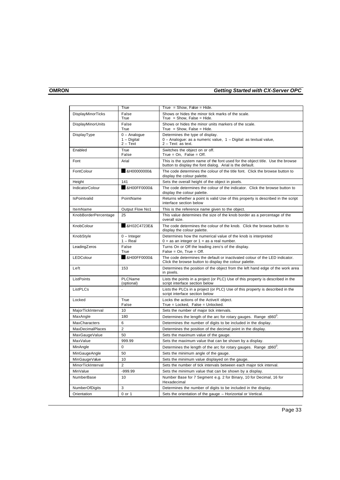|                         | True                                          | $True = Show$ , $False = Hide$ .                                                                                                          |
|-------------------------|-----------------------------------------------|-------------------------------------------------------------------------------------------------------------------------------------------|
| DisplayMinorTicks       | False<br>True                                 | Shows or hides the minor tick marks of the scale.<br>True = $Show. False = Hide.$                                                         |
| DisplayMinorUnits       | False<br>True                                 | Shows or hides the minor units markers of the scale.<br>True = $Show, False = Hide.$                                                      |
| DisplayType             | $0 -$ Analoque<br>$1 - Diqital$<br>$2 - Text$ | Determines the type of display.<br>0 - Analogue: as a numeric value, 1 - Digital: as textual value,<br>$2 - Text:$ as text.               |
| Enabled                 | True<br>False                                 | Switches the object on or off.<br>True = $On$ , False = $Off$ .                                                                           |
| Font                    | Arial                                         | This is the system name of the font used for the object title. Use the browse<br>button to display the font dialog. Arial is the default. |
| FontColour              | &H00000000&                                   | The code determines the colour of the title font. Click the browse button to<br>display the colour palette.                               |
| Height                  | 141                                           | Sets the overall height of the object in pixels.                                                                                          |
| <b>IndicatorColour</b>  | &H00FF0000&                                   | The code determines the colour of the indicator. Click the browse button to<br>display the colour palette.                                |
| <b>IsPointvalid</b>     | PointName                                     | Returns whether a point is valid Use of this property is described in the script<br>interface section below                               |
| ItemName                | Output Flow No1                               | This is the reference name given to the object.                                                                                           |
| KnobBorderPercentage    | 25                                            | This value determines the size of the knob border as a percentage of the<br>overall size.                                                 |
| KnobColour              | &H02C4723E&                                   | The code determines the colour of the knob. Click the browse button to<br>display the colour palette.                                     |
| KnobStyle               | $0$ – Integer<br>$1 - Real$                   | Determines how the numerical value of the knob is interpreted<br>$0 =$ as an integer or $1 =$ as a real number.                           |
| LeadingZeros            | False<br>True                                 | Turns On or Off the leading zero's of the display.<br>$False = On$ , True = Off.                                                          |
| LEDColour               | &H00FF0000&                                   | The code determines the default or inactivated colour of the LED indicator.<br>Click the browse button to display the colour palette.     |
| Left                    | 153                                           | Determines the position of the object from the left hand edge of the work area<br>in pixels.                                              |
| ListPoints              | PLCName<br>(optional)                         | Lists the points in a project (or PLC) Use of this property is described in the<br>script interface section below                         |
| ListPLCs                | ÷,                                            | Lists the PLCs in a project (or PLC) Use of this property is described in the<br>script interface section below                           |
| Locked                  | True<br>False                                 | Locks the actions of the ActiveX object.<br>True = Locked, False = Unlocked.                                                              |
| MajorTickInterval       | 10                                            | Sets the number of major tick intervals.                                                                                                  |
| MaxAngle                | 180                                           | Determines the length of the arc for rotary gauges. Range $\pm 360^{\circ}$ .                                                             |
| <b>MaxCharacters</b>    | 6                                             | Determines the number of digits to be included in the display.                                                                            |
| <b>MaxDecimalPlaces</b> | $\overline{2}$                                | Determines the position of the decimal point in the display.                                                                              |
| MaxGaugeValue           | 50                                            | Sets the maximum value of the gauge.                                                                                                      |
| MaxValue                | 999.99                                        | Sets the maximum value that can be shown by a display.                                                                                    |
| MinAngle                | $\Omega$                                      | Determines the length of the arc for rotary gauges. Range $\pm 360^{\circ}$ .                                                             |
| MinGaugeAngle           | 50                                            | Sets the minimum angle of the gauge.                                                                                                      |
| MinGaugeValue           | 10                                            | Sets the minimum value displayed on the gauge.                                                                                            |
| MinorTickInterval       | $\overline{2}$                                | Sets the number of tick intervals between each major tick interval.                                                                       |
| MinValue                | $-999.99$                                     | Sets the minimum value that can be shown by a display.                                                                                    |
| NumberBase              | 10                                            | Number Base for 7 Segment e.g. 2 for Binary, 10 for Decimal, 16 for<br>Hexadecimal                                                        |
| NumberOfDigits          | 3                                             | Determines the number of digits to be included in the display.                                                                            |
| Orientation             | 0 or 1                                        | Sets the orientation of the gauge - Horizontal or Vertical.                                                                               |
|                         |                                               |                                                                                                                                           |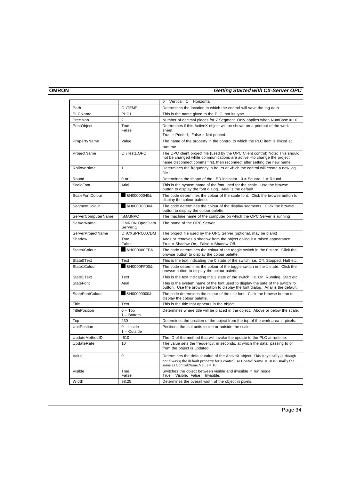|                        |                             | $0 = V$ ertical, $1 =$ Horizontal.                                                                                                                                                                                                  |
|------------------------|-----------------------------|-------------------------------------------------------------------------------------------------------------------------------------------------------------------------------------------------------------------------------------|
| Path                   | C:\TEMP                     | Determines the location in which the control will save the log data                                                                                                                                                                 |
| PLCName                | PLC1                        | This is the name given to the PLC, not its type.                                                                                                                                                                                    |
| Precision              | $\overline{2}$              | Number of decimal places for 7 Segment. Only applies when NumBase = 10                                                                                                                                                              |
| PrintObject            | True<br>False               | Determines if this ActiveX object will be shown on a printout of the work<br>sheet.<br>True = Printed, False = Not printed.                                                                                                         |
| PropertyName           | Value                       | The name of the property in the control to which the PLC item is linked at<br>runtime                                                                                                                                               |
| ProjectName            | C:\Test1.OPC                | The OPC client project file (used by the OPC Client control). Note: This should<br>not be changed while communications are active -to change the project<br>name disconnect comms first, then reconnect after setting the new name. |
| Rollovertime           | $\mathbf{1}$                | Determines the frequency in hours at which the control will create a new log<br>file                                                                                                                                                |
| Round                  | 0 or 1                      | Determines the shape of the LED indicator. $0 = Square$ , 1 = Round.                                                                                                                                                                |
| ScaleFont              | Arial                       | This is the system name of the font used for the scale. Use the browse<br>button to display the font dialog. Arial is the default.                                                                                                  |
| <b>ScaleFontColour</b> | &H00000040&                 | The code determines the colour of the scale font. Click the browse button to<br>display the colour palette.                                                                                                                         |
| SegmentColour          | &H0000C000&                 | The code determines the colour of the display segments. Click the browse<br>button to display the colour palette.                                                                                                                   |
| ServerComputerName     | <b><i>IMAINPC</i></b>       | The machine name of the computer on which the OPC Server is running                                                                                                                                                                 |
| ServerName             | OMRON.OpenData<br>Server.1  | The name of the OPC Server                                                                                                                                                                                                          |
| ServerProjectName      | C:\CXSPROJ.CDM              | The project file used by the OPC Server (optional, may be blank)                                                                                                                                                                    |
| Shadow                 | True<br>False               | Adds or removes a shadow from the object giving it a raised appearance.<br>True = Shadow On, False = Shadow Off.                                                                                                                    |
| State0Colour           | &H000000FF&                 | The code determines the colour of the toggle switch in the 0 state. Click the<br>browse button to display the colour palette.                                                                                                       |
| State0Text             | Text                        | This is the text indicating the 0 state of the switch, i.e. Off, Stopped, Halt etc.                                                                                                                                                 |
| State1Colour           | &H0000FF00&                 | The code determines the colour of the toggle switch in the 1 state. Click the<br>browse button to display the colour palette.                                                                                                       |
| State1Text             | Text                        | This is the text indicating the 1 state of the switch, i.e. On, Running, Start etc.                                                                                                                                                 |
| <b>StateFont</b>       | Arial                       | This is the system name of the font used to display the sate of the switch ro<br>button. Use the browse button to display the font dialog. Arial is the default.                                                                    |
| <b>StateFontColour</b> | &H00000000&                 | The code determines the colour of the title font. Click the browse button to<br>display the colour palette.                                                                                                                         |
| Title                  | Text                        | This is the title that appears in the object.                                                                                                                                                                                       |
| <b>TitlePosition</b>   | $0 - Top$<br>$1 - Bottom$   | Determines where title will be placed in the object. Above or below the scale.                                                                                                                                                      |
| Top                    | 230                         | Determines the position of the object from the top of the work area in pixels.                                                                                                                                                      |
| <b>UnitPostion</b>     | $0$ – Inside<br>1 - Outside | Positions the dial units inside or outside the scale.                                                                                                                                                                               |
| UpdateMethodID         | $-610$                      | The ID of the method that will invoke the update to the PLC at runtime.                                                                                                                                                             |
| <b>UpdateRate</b>      | 10                          | The value sets the frequency, in seconds, at which the data passing to or<br>from the object is updated.                                                                                                                            |
| Value                  | $\Omega$                    | Determines the default value of the ActiveX object. This is typically (although<br>not always) the default property for a control, so ControlName. = 10 is usually the<br>same as ControlName. Value = $10$                         |
| Visible                | True<br>False               | Switches the object between visible and invisible in run mode.<br>$True = Visible, False = Invisible.$                                                                                                                              |
| Width                  | 98.25                       | Determines the overall width of the object in pixels.                                                                                                                                                                               |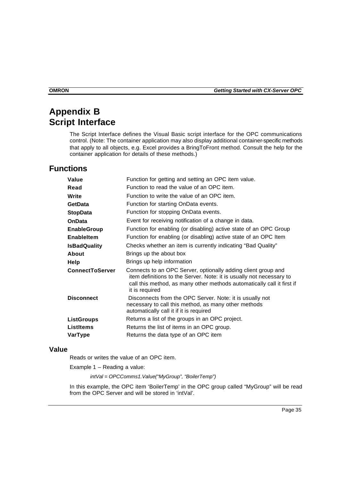## **Appendix B Script Interface**

The Script Interface defines the Visual Basic script interface for the OPC communications control. (Note: The container application may also display additional container-specific methods that apply to all objects, e.g. Excel provides a BringToFront method. Consult the help for the container application for details of these methods.)

## **Functions**

| Value                  | Function for getting and setting an OPC item value.                                                                                                                                                                               |
|------------------------|-----------------------------------------------------------------------------------------------------------------------------------------------------------------------------------------------------------------------------------|
| Read                   | Function to read the value of an OPC item.                                                                                                                                                                                        |
| Write                  | Function to write the value of an OPC item.                                                                                                                                                                                       |
| <b>GetData</b>         | Function for starting OnData events.                                                                                                                                                                                              |
| <b>StopData</b>        | Function for stopping OnData events.                                                                                                                                                                                              |
| <b>OnData</b>          | Event for receiving notification of a change in data.                                                                                                                                                                             |
| <b>EnableGroup</b>     | Function for enabling (or disabling) active state of an OPC Group                                                                                                                                                                 |
| <b>EnableItem</b>      | Function for enabling (or disabling) active state of an OPC Item                                                                                                                                                                  |
| <b>IsBadQuality</b>    | Checks whether an item is currently indicating "Bad Quality"                                                                                                                                                                      |
| About                  | Brings up the about box                                                                                                                                                                                                           |
| Help                   | Brings up help information                                                                                                                                                                                                        |
| <b>ConnectToServer</b> | Connects to an OPC Server, optionally adding client group and<br>item definitions to the Server. Note: it is usually not necessary to<br>call this method, as many other methods automatically call it first if<br>it is required |
| <b>Disconnect</b>      | Disconnects from the OPC Server. Note: it is usually not<br>necessary to call this method, as many other methods<br>automatically call it if it is required                                                                       |
| <b>ListGroups</b>      | Returns a list of the groups in an OPC project.                                                                                                                                                                                   |
| <b>ListItems</b>       | Returns the list of items in an OPC group.                                                                                                                                                                                        |
| VarType                | Returns the data type of an OPC item                                                                                                                                                                                              |
|                        |                                                                                                                                                                                                                                   |

#### **Value**

Reads or writes the value of an OPC item.

Example 1 – Reading a value:

*intVal = OPCComms1.Value("MyGroup", "BoilerTemp")*

In this example, the OPC item 'BoilerTemp' in the OPC group called "MyGroup" will be read from the OPC Server and will be stored in 'intVal'.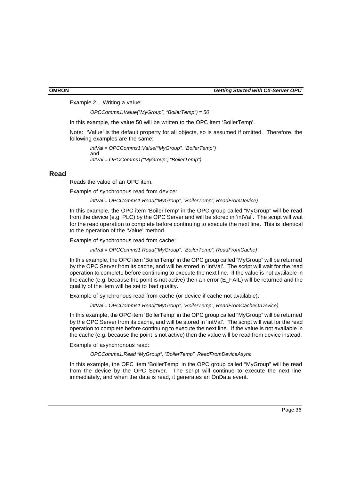Example 2 – Writing a value:

*OPCComms1.Value("MyGroup", "BoilerTemp") = 50*

In this example, the value 50 will be written to the OPC item 'BoilerTemp'.

Note: 'Value' is the default property for all objects, so is assumed if omitted. Therefore, the following examples are the same:

```
intVal = OPCComms1.Value("MyGroup", "BoilerTemp")
and
intVal = OPCComms1("MyGroup", "BoilerTemp")
```
#### **Read**

Reads the value of an OPC item.

Example of synchronous read from device:

*intVal = OPCComms1.Read("MyGroup", "BoilerTemp", ReadFromDevice)*

In this example, the OPC item 'BoilerTemp' in the OPC group called "MyGroup" will be read from the device (e.g. PLC) by the OPC Server and will be stored in 'intVal'. The script will wait for the read operation to complete before continuing to execute the next line. This is identical to the operation of the 'Value' method.

Example of synchronous read from cache:

*intVal = OPCComms1.Read("MyGroup", "BoilerTemp", ReadFromCache)*

In this example, the OPC item 'BoilerTemp' in the OPC group called "MyGroup" will be returned by the OPC Server from its cache, and will be stored in 'intVal'. The script will wait for the read operation to complete before continuing to execute the next line. If the value is not available in the cache (e.g. because the point is not active) then an error  $(E$  FAIL) will be returned and the quality of the item will be set to bad quality.

Example of synchronous read from cache (or device if cache not available):

*intVal = OPCComms1.Read("MyGroup", "BoilerTemp", ReadFromCacheOrDevice)*

In this example, the OPC item 'BoilerTemp' in the OPC group called "MyGroup" will be returned by the OPC Server from its cache, and will be stored in 'intVal'. The script will wait for the read operation to complete before continuing to execute the next line. If the value is not available in the cache (e.g. because the point is not active) then the value will be read from device instead.

Example of asynchronous read:

*OPCComms1.Read "MyGroup", "BoilerTemp", ReadFromDeviceAsync*

In this example, the OPC item 'BoilerTemp' in the OPC group called "MyGroup" will be read from the device by the OPC Server. The script will continue to execute the next line immediately, and when the data is read, it generates an OnData event.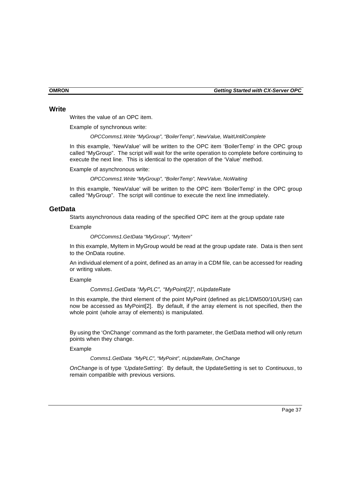#### **Write**

Writes the value of an OPC item.

Example of synchronous write:

*OPCComms1.Write "MyGroup", "BoilerTemp", NewValue, WaitUntilComplete*

In this example, 'NewValue' will be written to the OPC item 'BoilerTemp' in the OPC group called "MyGroup". The script will wait for the write operation to complete before continuing to execute the next line. This is identical to the operation of the 'Value' method.

Example of asynchronous write:

*OPCComms1.Write "MyGroup", "BoilerTemp", NewValue, NoWaiting*

In this example, 'NewValue' will be written to the OPC item 'BoilerTemp' in the OPC group called "MyGroup". The script will continue to execute the next line immediately.

#### **GetData**

Starts asynchronous data reading of the specified OPC item at the group update rate

Example

*OPCComms1.GetData "MyGroup", "MyItem"*

In this example, MyItem in MyGroup would be read at the group update rate. Data is then sent to the OnData routine.

An individual element of a point, defined as an array in a CDM file, can be accessed for reading or writing values.

Example

*Comms1.GetData "MyPLC", "MyPoint[2]", nUpdateRate*

In this example, the third element of the point MyPoint (defined as plc1/DM500/10/USH) can now be accessed as MyPoint[2]. By default, if the array element is not specified, then the whole point (whole array of elements) is manipulated.

By using the 'OnChange' command as the forth parameter, the GetData method will only return points when they change.

Example

*Comms1.GetData "MyPLC", "MyPoint", nUpdateRate, OnChange*

*OnChange* is of type *'UpdateSetting'*. By default, the UpdateSetting is set to *Continuous*, to remain compatible with previous versions.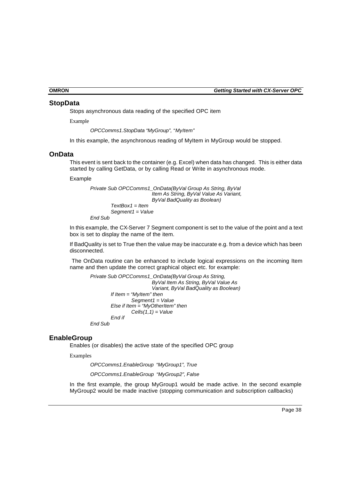#### **StopData**

Stops asynchronous data reading of the specified OPC item

Example

*OPCComms1.StopData "MyGroup", "MyItem"*

In this example, the asynchronous reading of MyItem in MyGroup would be stopped.

#### **OnData**

This event is sent back to the container (e.g. Excel) when data has changed. This is either data started by calling GetData, or by calling Read or Write in asynchronous mode.

Example

```
Private Sub OPCComms1_OnData(ByVal Group As String, ByVal 
                         Item As String, ByVal Value As Variant, 
                         ByVal BadQuality as Boolean)
        TextBox1 = Item
        Segment1 = Value
```
*End Sub*

In this example, the CX-Server 7 Segment component is set to the value of the point and a text box is set to display the name of the item.

If BadQuality is set to True then the value may be inaccurate e.g. from a device which has been disconnected.

 The OnData routine can be enhanced to include logical expressions on the incoming Item name and then update the correct graphical object etc. for example:

```
Private Sub OPCComms1_OnData(ByVal Group As String, 
                         ByVal Item As String, ByVal Value As 
                          Variant, ByVal BadQuality as Boolean)
        If Item = "MyItem" then
                 Segment1 = Value
        Else if Item = "MyOtherItem" then
                 Cells(1,1) = Value
        End if
End Sub
```
## **EnableGroup**

Enables (or disables) the active state of the specified OPC group

Examples

*OPCComms1.EnableGroup "MyGroup1", True OPCComms1.EnableGroup "MyGroup2", False*

In the first example, the group MyGroup1 would be made active. In the second example MyGroup2 would be made inactive (stopping communication and subscription callbacks)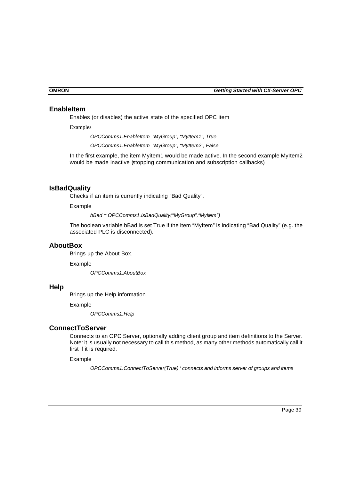### **EnableItem**

Enables (or disables) the active state of the specified OPC item

Examples

*OPCComms1.EnableItem "MyGroup", "MyItem1", True OPCComms1.EnableItem "MyGroup", "MyItem2", False*

In the first example, the item Myitem1 would be made active. In the second example MyItem2 would be made inactive (stopping communication and subscription callbacks)

## **IsBadQuality**

Checks if an item is currently indicating "Bad Quality".

Example

*bBad = OPCComms1.IsBadQuality("MyGroup","MyItem")*

The boolean variable bBad is set True if the item "MyItem" is indicating "Bad Quality" (e.g. the associated PLC is disconnected).

### **AboutBox**

Brings up the About Box.

Example

*OPCComms1.AboutBox*

## **Help**

Brings up the Help information.

Example

*OPCComms1.Help*

#### **ConnectToServer**

Connects to an OPC Server, optionally adding client group and item definitions to the Server. Note: it is usually not necessary to call this method, as many other methods automatically call it first if it is required.

Example

*OPCComms1.ConnectToServer(True) ' connects and informs server of groups and items*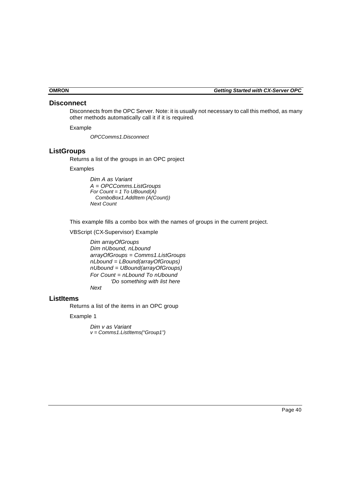#### **Disconnect**

Disconnects from the OPC Server. Note: it is usually not necessary to call this method, as many other methods automatically call it if it is required.

Example

*OPCComms1.Disconnect*

### **ListGroups**

Returns a list of the groups in an OPC project

Examples

*Dim A as Variant A = OPCComms.ListGroups For Count = 1 To UBound(A) ComboBox1.AddItem (A(Count)) Next Count*

This example fills a combo box with the names of groups in the current project.

VBScript (CX-Supervisor) Example

*Dim arrayOfGroups Dim nUbound, nLbound arrayOfGroups = Comms1.ListGroups nLbound = LBound(arrayOfGroups) nUbound = UBound(arrayOfGroups) For Count = nLbound To nUbound 'Do something with list here Next*

#### **ListItems**

Returns a list of the items in an OPC group

Example 1

*Dim v as Variant v = Comms1.ListItems("Group1")*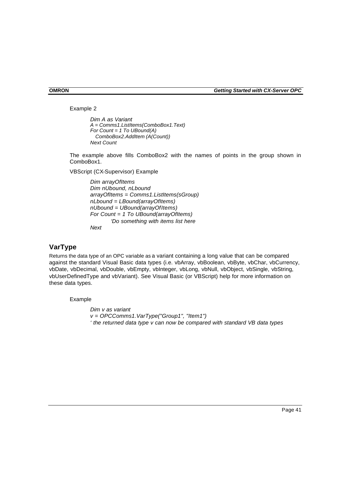Example 2

```
Dim A as Variant
A = Comms1.ListItems(ComboBox1.Text)
For Count = 1 To UBound(A)
   ComboBox2.AddItem (A(Count))
Next Count
```
The example above fills ComboBox2 with the names of points in the group shown in ComboBox1.

VBScript (CX-Supervisor) Example

*Dim arrayOfItems Dim nUbound, nLbound arrayOfItems = Comms1.ListItems(sGroup) nLbound = LBound(arrayOfItems) nUbound = UBound(arrayOfItems) For Count = 1 To UBound(arrayOfItems) 'Do something with items list here Next*

## **VarType**

Returns the data type of an OPC variable as a variant containing a long value that can be compared against the standard Visual Basic data types (i.e. vbArray, vbBoolean, vbByte, vbChar, vbCurrency, vbDate, vbDecimal, vbDouble, vbEmpty, vbInteger, vbLong, vbNull, vbObject, vbSingle, vbString, vbUserDefinedType and vbVariant). See Visual Basic (or VBScript) help for more information on these data types.

Example

*Dim v as variant v = OPCComms1.VarType("Group1", "Item1") ' the returned data type v can now be compared with standard VB data types*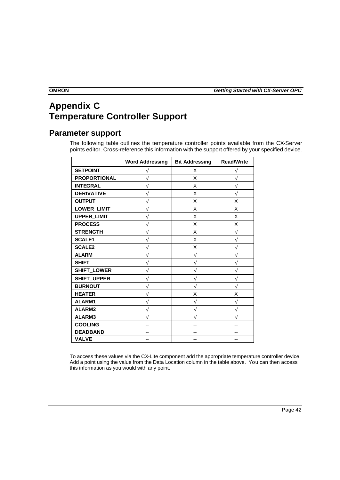## **Appendix C Temperature Controller Support**

## **Parameter support**

The following table outlines the temperature controller points available from the CX-Server points editor. Cross-reference this information with the support offered by your specified device.

|                     | <b>Word Addressing</b> | <b>Bit Addressing</b> | <b>Read/Write</b> |
|---------------------|------------------------|-----------------------|-------------------|
| <b>SETPOINT</b>     |                        | X                     |                   |
| <b>PROPORTIONAL</b> |                        | X                     |                   |
| <b>INTEGRAL</b>     |                        | X                     |                   |
| <b>DERIVATIVE</b>   |                        | X                     |                   |
| <b>OUTPUT</b>       |                        | X                     | X                 |
| <b>LOWER_LIMIT</b>  |                        | X                     | X                 |
| <b>UPPER LIMIT</b>  |                        | X                     | X                 |
| <b>PROCESS</b>      |                        | X                     | X                 |
| <b>STRENGTH</b>     |                        | X                     | $\sqrt{}$         |
| <b>SCALE1</b>       |                        | X                     | V                 |
| <b>SCALE2</b>       |                        | X                     | V                 |
| <b>ALARM</b>        |                        | V                     |                   |
| <b>SHIFT</b>        |                        |                       |                   |
| SHIFT_LOWER         |                        |                       |                   |
| SHIFT_UPPER         |                        | J                     |                   |
| <b>BURNOUT</b>      |                        | V                     | V                 |
| <b>HEATER</b>       |                        | X                     | X                 |
| ALARM1              |                        | N                     | V                 |
| ALARM2              |                        | N                     | J                 |
| ALARM3              |                        |                       |                   |
| <b>COOLING</b>      |                        |                       |                   |
| <b>DEADBAND</b>     |                        |                       | --                |
| <b>VALVE</b>        | --                     | --                    | $-$               |

To access these values via the CX-Lite component add the appropriate temperature controller device. Add a point using the value from the Data Location column in the table above. You can then access this information as you would with any point.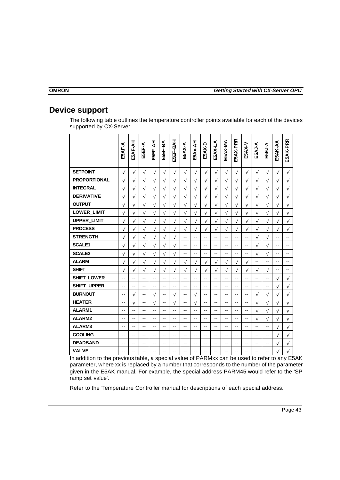## **Device support**

The following table outlines the temperature controller points available for each of the devices supported by CX-Server.

|                     | E5AF-A         | E5AF-AH    | E5EF-A    | E5EF-AH   | E5EF-BA                  | E5EF-BAH                 | E5AX-A                   | E5Ax-AH        | E5AX-D         | E5AX-LA   | E5AX-MA   | E5AX-PRR       | E5AX-V     | E5AJ-A     | E5EJ-A         | E5AK-AA    | E5AK-PRR       |
|---------------------|----------------|------------|-----------|-----------|--------------------------|--------------------------|--------------------------|----------------|----------------|-----------|-----------|----------------|------------|------------|----------------|------------|----------------|
| <b>SETPOINT</b>     | $\sqrt{ }$     | $\sqrt{}$  | $\sqrt{}$ | $\sqrt{}$ | $\sqrt{}$                | $\sqrt{}$                | $\sqrt{}$                | $\sqrt{}$      | $\sqrt{}$      | $\sqrt{}$ | $\sqrt{}$ | $\sqrt{ }$     | $\sqrt{}$  | $\sqrt{}$  | $\sqrt{ }$     | $\sqrt{}$  | $\sqrt{}$      |
| <b>PROPORTIONAL</b> | $\sqrt{ }$     | $\sqrt{ }$ | $\sqrt{}$ | $\sqrt{}$ | $\sqrt{}$                | $\sqrt{}$                | $\sqrt{}$                | $\sqrt{}$      | $\sqrt{ }$     | $\sqrt{}$ | $\sqrt{}$ | $\sqrt{}$      | $\sqrt{}$  | $\sqrt{}$  | $\sqrt{}$      | $\sqrt{ }$ | $\sqrt{}$      |
| <b>INTEGRAL</b>     | $\sqrt{}$      | $\sqrt{ }$ | $\sqrt{}$ | $\sqrt{}$ | $\sqrt{}$                | $\sqrt{}$                | $\sqrt{}$                | $\sqrt{}$      | $\sqrt{ }$     | $\sqrt{}$ | $\sqrt{}$ | $\sqrt{}$      | $\sqrt{}$  | $\sqrt{}$  | $\sqrt{}$      | $\sqrt{ }$ | $\sqrt{}$      |
| <b>DERIVATIVE</b>   | $\sqrt{ }$     | $\sqrt{ }$ | $\sqrt{}$ | $\sqrt{}$ | $\sqrt{}$                | $\sqrt{}$                | $\sqrt{}$                | $\sqrt{}$      | $\sqrt{ }$     | $\sqrt{}$ | $\sqrt{}$ | $\sqrt{}$      | $\sqrt{}$  | $\sqrt{}$  | $\sqrt{}$      | $\sqrt{}$  | $\sqrt{}$      |
| <b>OUTPUT</b>       | $\sqrt{ }$     | $\sqrt{}$  | $\sqrt{}$ | $\sqrt{}$ | $\sqrt{}$                | $\sqrt{}$                | $\sqrt{}$                | $\sqrt{2}$     | $\sqrt{}$      | $\sqrt{}$ | $\sqrt{}$ | $\sqrt{}$      | $\sqrt{}$  | $\sqrt{}$  | $\sqrt{}$      | $\sqrt{}$  | $\sqrt{}$      |
| LOWER_LIMIT         | $\sqrt{ }$     | $\sqrt{ }$ | $\sqrt{}$ | $\sqrt{}$ | $\sqrt{}$                | $\sqrt{}$                | $\sqrt{}$                | $\sqrt{}$      | $\sqrt{ }$     | $\sqrt{}$ | $\sqrt{}$ | $\sqrt{}$      | $\sqrt{ }$ | $\sqrt{}$  | $\sqrt{}$      | $\sqrt{ }$ | $\sqrt{}$      |
| UPPER_LIMIT         | $\sqrt{}$      | $\sqrt{}$  | $\sqrt{}$ | $\sqrt{}$ | $\sqrt{}$                | $\sqrt{}$                | $\sqrt{}$                | $\sqrt{}$      | $\sqrt{}$      | $\sqrt{}$ | $\sqrt{}$ | $\sqrt{}$      | $\sqrt{}$  | $\sqrt{}$  | $\sqrt{}$      | $\sqrt{}$  | $\sqrt{}$      |
| <b>PROCESS</b>      | $\sqrt{}$      | $\sqrt{}$  | $\sqrt{}$ | $\sqrt{}$ | $\sqrt{}$                | $\sqrt{}$                | $\sqrt{}$                | $\sqrt{ }$     | $\sqrt{}$      | $\sqrt{}$ | $\sqrt{}$ | $\sqrt{}$      | $\sqrt{}$  | $\sqrt{}$  | $\sqrt{}$      | $\sqrt{ }$ | $\sqrt{ }$     |
| <b>STRENGTH</b>     | $\sqrt{}$      | $\sqrt{}$  | $\sqrt{}$ | $\sqrt{}$ | $\sqrt{}$                | $\sqrt{}$                | $-$                      | $-1$           | --             | --        | --        | --             | --         | $\sqrt{}$  | $\sqrt{}$      | --         | --             |
| <b>SCALE1</b>       | $\sqrt{}$      | $\sqrt{ }$ | $\sqrt{}$ | $\sqrt{}$ | $\sqrt{}$                | $\sqrt{}$                | $-$                      | $-$            | --             | $-1$      | --        | --             | --         | $\sqrt{}$  | $\sqrt{}$      | $-1$       | $\overline{a}$ |
| <b>SCALE2</b>       | $\sqrt{}$      | $\sqrt{}$  | $\sqrt{}$ | $\sqrt{}$ | $\sqrt{}$                | $\sqrt{}$                | $-$                      | $-$            | $\overline{a}$ | $-$       | --        | --             | --         | $\sqrt{2}$ | $\sqrt{}$      | --         | --             |
| <b>ALARM</b>        | $\sqrt{}$      | $\sqrt{}$  | $\sqrt{}$ | $\sqrt{}$ | $\sqrt{}$                | $\sqrt{}$                | $\sqrt{}$                | $\sqrt{}$      | $\sqrt{}$      | $\sqrt{}$ | $\sqrt{}$ | $\sqrt{}$      | $\sqrt{ }$ | $-$        | Ξ.             | $-$        | $-$            |
| <b>SHIFT</b>        | $\sqrt{ }$     | $\sqrt{}$  | $\sqrt{}$ | $\sqrt{}$ | $\sqrt{}$                | $\sqrt{}$                | $\sqrt{}$                | $\sqrt{}$      | $\sqrt{}$      | $\sqrt{}$ | $\sqrt{}$ | $\sqrt{}$      | $\sqrt{ }$ | $\sqrt{}$  | $\sqrt{}$      | $-$        | $-$            |
| SHIFT_LOWER         | $-1$           | $-1$       | $-1$      | $-1$      | $-$                      | $-1$                     | $-$                      | $\overline{a}$ | $-1$           | $-1$      | $-1$      | $-1$           | --         | $-$        | $\overline{a}$ | $\sqrt{ }$ | $\sqrt{}$      |
| SHIFT_UPPER         | $\overline{a}$ | $-1$       | $-$       | $-$       | $-$                      | $-$                      | $-$                      | $\sim$         | $-$            | $-$       | $-$       | $\overline{a}$ | $-1$       | $-$        | Ξ.             | $\sqrt{ }$ | $\sqrt{ }$     |
| <b>BURNOUT</b>      | $-$            | $\sqrt{ }$ | $-$       | $\sqrt{}$ | $\sim$ $\sim$            | $\sqrt{}$                | $\sim$ $\sim$            | $\sqrt{ }$     | $-$            | $-$       | $-1$      | --             | $-1$       | $\sqrt{}$  | $\sqrt{}$      | $\sqrt{}$  | $\sqrt{}$      |
| <b>HEATER</b>       | --             | $\sqrt{}$  | --        | $\sqrt{}$ | $\overline{\phantom{a}}$ | $\sqrt{}$                | $\overline{\phantom{a}}$ | $\sqrt{}$      | --             | --        | --        | --             | --         | $\sqrt{}$  | $\sqrt{}$      | $\sqrt{}$  | $\sqrt{ }$     |
| ALARM1              | $-$            | --         | $-$       | --        | $-$                      | $-1$                     | $-$                      | --             | --             | $-$       | --        | --             | --         | $\sqrt{}$  | $\sqrt{}$      | $\sqrt{ }$ | $\sqrt{}$      |
| ALARM2              | $-$            | --         | $-$       | --        | $-$                      | $\overline{\phantom{a}}$ | $-$                      | $-$            | $-1$           | $-$       | $-1$      | $-1$           | $-1$       | $\sqrt{ }$ | $\sqrt{}$      | $\sqrt{ }$ | $\sqrt{}$      |
| ALARM3              | $-$            | --         | $-$       | $-1$      | $-$                      | $-$                      | $-$                      | $- -$          | --             | $-$       | $-1$      | $-1$           | $-$        | $- -$      | $-$            | $\sqrt{ }$ | $\sqrt{}$      |
| <b>COOLING</b>      | $-$            | --         | $-$       | --        | $- -$                    | $-$                      | $- -$                    | $-$            | --             | $-1$      | --        | --             | $-1$       | $-1$       | $-1$           | $\sqrt{}$  | $\sqrt{}$      |
| <b>DEADBAND</b>     | --             | --         | --        | --        | $-$                      | --                       | $- -$                    | --             | --             | --        | --        | --             | --         | $-1$       | $-$            | $\sqrt{ }$ | $\sqrt{}$      |
| <b>VALVE</b>        | $-$            | --         | --        | --        | $-$                      | --                       | $-$                      | --             | --             | --        | --        | --             | --         | --         | --             | $\sqrt{}$  | $\sqrt{}$      |

In addition to the previous table, a special value of PARMxx can be used to refer to any E5AK parameter, where xx is replaced by a number that corresponds to the number of the parameter given in the E5AK manual. For example, the special address PARM45 would refer to the 'SP ramp set value'.

Refer to the Temperature Controller manual for descriptions of each special address.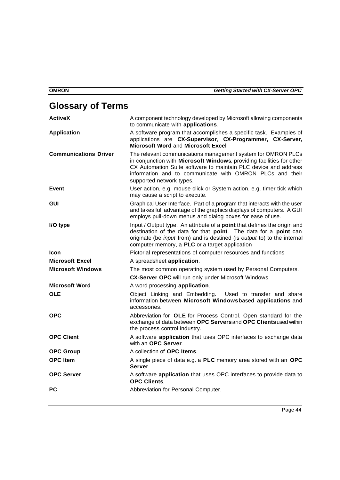## **Glossary of Terms**

| <b>ActiveX</b>               | A component technology developed by Microsoft allowing components<br>to communicate with applications.                                                                                                                                                                                           |
|------------------------------|--------------------------------------------------------------------------------------------------------------------------------------------------------------------------------------------------------------------------------------------------------------------------------------------------|
| <b>Application</b>           | A software program that accomplishes a specific task. Examples of<br>applications are CX-Supervisor, CX-Programmer, CX-Server,<br><b>Microsoft Word and Microsoft Excel</b>                                                                                                                      |
| <b>Communications Driver</b> | The relevant communications management system for OMRON PLCs<br>in conjunction with Microsoft Windows, providing facilities for other<br>CX Automation Suite software to maintain PLC device and address<br>information and to communicate with OMRON PLCs and their<br>supported network types. |
| <b>Event</b>                 | User action, e.g. mouse click or System action, e.g. timer tick which<br>may cause a script to execute.                                                                                                                                                                                          |
| <b>GUI</b>                   | Graphical User Interface. Part of a program that interacts with the user<br>and takes full advantage of the graphics displays of computers. A GUI<br>employs pull-down menus and dialog boxes for ease of use.                                                                                   |
| I/O type                     | Input / Output type. An attribute of a <b>point</b> that defines the origin and<br>destination of the data for that point. The data for a point can<br>originate (be <i>input</i> from) and is destined (is <i>output</i> to) to the internal<br>computer memory, a PLC or a target application  |
| <b>Icon</b>                  | Pictorial representations of computer resources and functions                                                                                                                                                                                                                                    |
| <b>Microsoft Excel</b>       | A spreadsheet application.                                                                                                                                                                                                                                                                       |
| <b>Microsoft Windows</b>     | The most common operating system used by Personal Computers.                                                                                                                                                                                                                                     |
|                              | <b>CX-Server OPC</b> will run only under Microsoft Windows.                                                                                                                                                                                                                                      |
| <b>Microsoft Word</b>        | A word processing application.                                                                                                                                                                                                                                                                   |
| <b>OLE</b>                   | Object Linking and Embedding. Used to transfer and share<br>information between Microsoft Windowsbased applications and<br>accessories.                                                                                                                                                          |
| <b>OPC</b>                   | Abbreviation for OLE for Process Control. Open standard for the<br>exchange of data between OPC Servers and OPC Clients used within<br>the process control industry.                                                                                                                             |
| <b>OPC Client</b>            | A software <b>application</b> that uses OPC interfaces to exchange data<br>with an OPC Server.                                                                                                                                                                                                   |
| <b>OPC Group</b>             | A collection of OPC Items.                                                                                                                                                                                                                                                                       |
| <b>OPC</b> Item              | A single piece of data e.g. a PLC memory area stored with an OPC<br>Server.                                                                                                                                                                                                                      |
| <b>OPC Server</b>            | A software application that uses OPC interfaces to provide data to<br><b>OPC Clients</b>                                                                                                                                                                                                         |
| PC                           | Abbreviation for Personal Computer.                                                                                                                                                                                                                                                              |
|                              |                                                                                                                                                                                                                                                                                                  |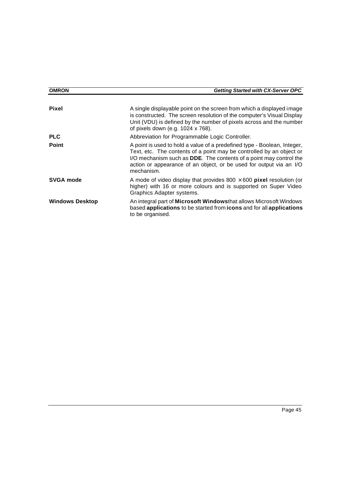| <b>OMRON</b>           | <b>Getting Started with CX-Server OPC</b>                                                                                                                                                                                                                                                                           |
|------------------------|---------------------------------------------------------------------------------------------------------------------------------------------------------------------------------------------------------------------------------------------------------------------------------------------------------------------|
| <b>Pixel</b>           | A single displayable point on the screen from which a displayed image<br>is constructed. The screen resolution of the computer's Visual Display<br>Unit (VDU) is defined by the number of pixels across and the number<br>of pixels down (e.g. 1024 x 768).                                                         |
| <b>PLC</b>             | Abbreviation for Programmable Logic Controller.                                                                                                                                                                                                                                                                     |
| <b>Point</b>           | A point is used to hold a value of a predefined type - Boolean, Integer,<br>Text, etc. The contents of a point may be controlled by an object or<br>I/O mechanism such as <b>DDE</b> . The contents of a point may control the<br>action or appearance of an object, or be used for output via an I/O<br>mechanism. |
| <b>SVGA mode</b>       | A mode of video display that provides $800 \times 600$ pixel resolution (or<br>higher) with 16 or more colours and is supported on Super Video<br>Graphics Adapter systems.                                                                                                                                         |
| <b>Windows Desktop</b> | An integral part of Microsoft Windowsthat allows Microsoft Windows<br>based applications to be started from icons and for all applications<br>to be organised.                                                                                                                                                      |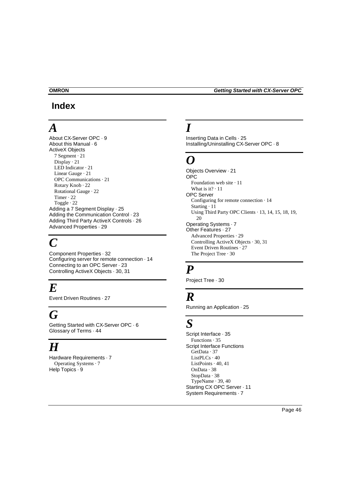## **Index**

# *A*

About CX-Server OPC · 9 About this Manual · 6 ActiveX Objects 7 Segment · 21 Display · 21 LED Indicator · 21 Linear Gauge · 21 OPC Communications · 21 Rotary Knob · 22 Rotational Gauge · 22 Timer · 22 Toggle · 22 Adding a 7 Segment Display · 25 Adding the Communication Control · 23 Adding Third Party ActiveX Controls · 26 Advanced Properties · 29

# $\boldsymbol{C}$

Component Properties · 32 Configuring server for remote connection · 14 Connecting to an OPC Server · 23 Controlling ActiveX Objects · 30, 31

# *E*

Event Driven Routines · 27

# *G*

Getting Started with CX-Server OPC · 6 Glossary of Terms · 44

# *H*

Hardware Requirements · 7 Operating Systems · 7 Help Topics · 9

# *I*

Inserting Data in Cells · 25 Installing/Uninstalling CX-Server OPC · 8

# *O*

Objects Overview · 21 OPC Foundation web site · 11 What is it?  $\cdot$  11 OPC Server Configuring for remote connection · 14 Starting · 11 Using Third Party OPC Clients · 13, 14, 15, 18, 19, 20 Operating Systems · 7 Other Features · 27 Advanced Properties · 29 Controlling ActiveX Objects · 30, 31 Event Driven Routines · 27 The Project Tree · 30

## *P*

Project Tree · 30

## *R*

Running an Application · 25

# *S*

Script Interface · 35 Functions · 35 Script Interface Functions GetData · 37  $ListPLCs \cdot 40$ ListPoints · 40, 41 OnData · 38 StopData · 38 TypeName · 39, 40 Starting CX OPC Server · 11 System Requirements · 7